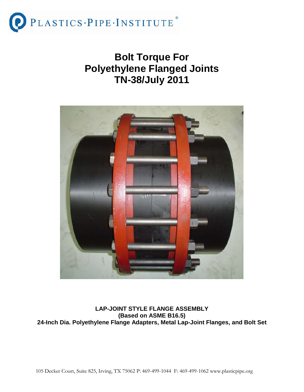

## **Bolt Torque For Polyethylene Flanged Joints TN-38/July 2011**



#### **LAP-JOINT STYLE FLANGE ASSEMBLY (Based on ASME B16.5) 24-Inch Dia. Polyethylene Flange Adapters, Metal Lap-Joint Flanges, and Bolt Set**

105 Decker Court, Suite 825, Irving, TX 75062 P: 469-499-1044 F: 469-499-1062 www.plasticpipe.org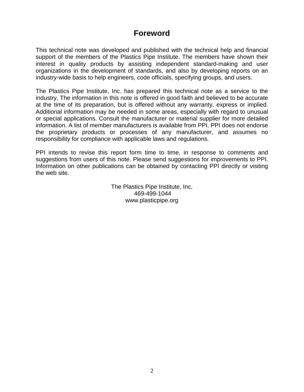## **Foreword**

This technical note was developed and published with the technical help and financial support of the members of the Plastics Pipe Institute. The members have shown their interest in quality products by assisting independent standard-making and user organizations in the development of standards, and also by developing reports on an industry-wide basis to help engineers, code officials, specifying groups, and users.

The Plastics Pipe Institute, Inc. has prepared this technical note as a service to the industry. The information in this note is offered in good faith and believed to be accurate at the time of its preparation, but is offered without any warranty, express or implied. Additional information may be needed in some areas, especially with regard to unusual or special applications. Consult the manufacturer or material supplier for more detailed information. A list of member manufacturers is available from PPI. PPI does not endorse the proprietary products or processes of any manufacturer, and assumes no responsibility for compliance with applicable laws and regulations.

PPI intends to revise this report form time to time, in response to comments and suggestions from users of this note. Please send suggestions for improvements to PPI. Information on other publications can be obtained by contacting PPI directly or visiting the web site.

> The Plastics Pipe Institute, Inc. 469-499-1044 www.plasticpipe.org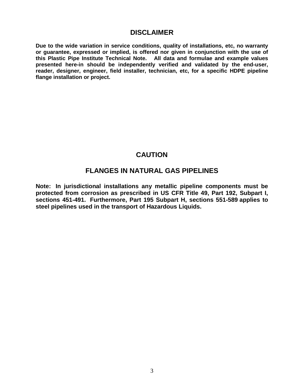#### **DISCLAIMER**

**Due to the wide variation in service conditions, quality of installations, etc, no warranty or guarantee, expressed or implied, is offered nor given in conjunction with the use of this Plastic Pipe Institute Technical Note. All data and formulae and example values presented here-in should be independently verified and validated by the end-user, reader, designer, engineer, field installer, technician, etc, for a specific HDPE pipeline flange installation or project.**

## **CAUTION**

#### **FLANGES IN NATURAL GAS PIPELINES**

**Note: In jurisdictional installations any metallic pipeline components must be protected from corrosion as prescribed in US CFR Title 49, Part 192, Subpart I, sections 451-491. Furthermore, Part 195 Subpart H, sections 551-589 applies to steel pipelines used in the transport of Hazardous Liquids.**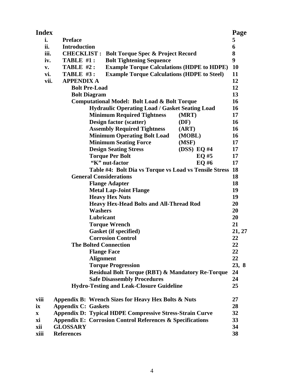| <b>Index</b> |                                                                        |                                                   | Page      |  |  |  |
|--------------|------------------------------------------------------------------------|---------------------------------------------------|-----------|--|--|--|
| i.           | <b>Preface</b>                                                         |                                                   | 5         |  |  |  |
| ii.          | <b>Introduction</b>                                                    |                                                   | 6         |  |  |  |
| iii.         | <b>CHECKLIST:</b><br><b>Bolt Torque Spec &amp; Project Record</b>      |                                                   | 8         |  |  |  |
| iv.          | TABLE #1:<br><b>Bolt Tightening Sequence</b>                           |                                                   | 9         |  |  |  |
| v.           | TABLE #2:                                                              | <b>Example Torque Calculations (HDPE to HDPE)</b> | <b>10</b> |  |  |  |
| vi.          | <b>Example Torque Calculations (HDPE to Steel)</b><br><b>TABLE #3:</b> |                                                   |           |  |  |  |
|              | <b>APPENDIX A</b><br>vii.                                              |                                                   | 12        |  |  |  |
|              | <b>Bolt Pre-Load</b>                                                   |                                                   | 12        |  |  |  |
|              | <b>Bolt Diagram</b>                                                    |                                                   | 13        |  |  |  |
|              | <b>Computational Model: Bolt Load &amp; Bolt Torque</b>                |                                                   | 16        |  |  |  |
|              | <b>Hydraulic Operating Load / Gasket Seating Load</b>                  |                                                   | 16        |  |  |  |
|              | <b>Minimum Required Tightness</b>                                      | (MRT)                                             | 17        |  |  |  |
|              | Design factor (scatter)                                                | (DF)                                              | 16        |  |  |  |
|              | <b>Assembly Required Tightness</b>                                     | (ART)                                             | 16        |  |  |  |
|              | <b>Minimum Operating Bolt Load</b>                                     | (MOBL)                                            | 16        |  |  |  |
|              | <b>Minimum Seating Force</b>                                           | (MSF)                                             | 17        |  |  |  |
|              | <b>Design Seating Stress</b>                                           | (DSS) EQ #4                                       | 17        |  |  |  |
|              | <b>Torque Per Bolt</b>                                                 | EQ#5                                              | 17        |  |  |  |
|              | "K" nut-factor                                                         | EQ #6                                             | 17        |  |  |  |
|              | Table #4: Bolt Dia vs Torque vs Load vs Tensile Stress                 |                                                   | <b>18</b> |  |  |  |
|              | <b>General Considerations</b>                                          |                                                   | 18        |  |  |  |
|              | <b>Flange Adapter</b>                                                  |                                                   | 18        |  |  |  |
|              | <b>Metal Lap-Joint Flange</b>                                          |                                                   | 19        |  |  |  |
|              | <b>Heavy Hex Nuts</b>                                                  |                                                   | 19        |  |  |  |
|              | <b>Heavy Hex-Head Bolts and All-Thread Rod</b>                         |                                                   | 20        |  |  |  |
|              | <b>Washers</b>                                                         |                                                   | 20        |  |  |  |
|              | Lubricant                                                              |                                                   | 20        |  |  |  |
|              | <b>Torque Wrench</b>                                                   |                                                   | 21        |  |  |  |
|              | <b>Gasket (if specified)</b>                                           |                                                   | 21, 27    |  |  |  |
|              | <b>Corrosion Control</b>                                               |                                                   | 22        |  |  |  |
|              | <b>The Bolted Connection</b>                                           |                                                   | 22        |  |  |  |
|              | <b>Flange Face</b>                                                     |                                                   | 22        |  |  |  |
|              | <b>Alignment</b>                                                       |                                                   | 22        |  |  |  |
|              | <b>Torque Progression</b>                                              |                                                   | 23, 8     |  |  |  |
|              | <b>Residual Bolt Torque (RBT) &amp; Mandatory Re-Torque</b>            |                                                   | 24        |  |  |  |
|              | <b>Safe Disassembly Procedures</b>                                     |                                                   | 24        |  |  |  |
|              | <b>Hydro-Testing and Leak-Closure Guideline</b>                        |                                                   | 25        |  |  |  |
| viii         | Appendix B: Wrench Sizes for Heavy Hex Bolts & Nuts                    |                                                   | 27        |  |  |  |
| ix           | <b>Appendix C: Gaskets</b>                                             |                                                   | 28        |  |  |  |
| X            | <b>Appendix D: Typical HDPE Compressive Stress-Strain Curve</b>        |                                                   | 32        |  |  |  |
| хi           | <b>Appendix E: Corrosion Control References &amp; Specifications</b>   |                                                   | 33        |  |  |  |
| xii          | <b>GLOSSARY</b>                                                        |                                                   | 34        |  |  |  |
| xiii         | <b>References</b>                                                      |                                                   | 38        |  |  |  |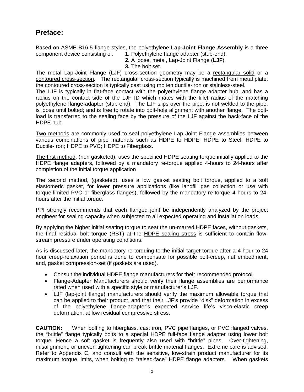## **Preface:**

Based on ASME B16.5 flange styles, the polyethylene **Lap-Joint Flange Assembly** is a three component device consisting of: **1.** Polyethylene flange adapter (stub-end).

**2.** A loose, metal, Lap-Joint Flange (**LJF**).

**3.** The bolt set.

The metal Lap-Joint Flange (LJF) cross-section geometry may be a rectangular solid or a contoured cross-section. The rectangular cross-section typically is machined from metal plate; the contoured cross-section is typically cast using molten ductile-iron or stainless-steel.

The LJF is typically in flat-face contact with the polyethylene flange adapter hub, and has a radius on the contact side of the LJF ID which mates with the fillet radius of the matching polyethylene flange-adapter (stub-end). The LJF slips over the pipe; is not welded to the pipe; is loose until bolted; and is free to rotate into bolt-hole alignment with another flange. The boltload is transferred to the sealing face by the pressure of the LJF against the back-face of the HDPE hub.

Two methods are commonly used to seal polyethylene Lap Joint Flange assemblies between various combinations of pipe materials such as HDPE to HDPE; HDPE to Steel; HDPE to Ductile-Iron; HDPE to PVC; HDPE to Fiberglass.

The first method, (non gasketed), uses the specified HDPE seating torque initially applied to the HDPE flange adapters, followed by a mandatory re-torque applied 4-hours to 24-hours after completion of the initial torque application

The second method, (gasketed), uses a low gasket seating bolt torque, applied to a soft elastomeric gasket, for lower pressure applications (like landfill gas collection or use with torque-limited PVC or fiberglass flanges), followed by the mandatory re-torque 4 hours to 24 hours after the initial torque.

PPI strongly recommends that each flanged joint be independently analyzed by the project engineer for sealing capacity when subjected to all expected operating and installation loads.

By applying the higher initial seating torque to seat the un-marred HDPE faces, without gaskets, the final residual bolt torque (RBT) at the HDPE sealing stress is sufficient to contain flowstream pressure under operating conditions.

As is discussed later, the mandatory re-torquing to the initial target torque after a 4 hour to 24 hour creep-relaxation period is done to compensate for possible bolt-creep, nut embedment, and, gasket compression-set (if gaskets are used).

- Consult the individual HDPE flange manufacturers for their recommended protocol.
- Flange-Adapter Manufacturers should verify their flange assemblies are performance rated when used with a specific style or manufacturer's LJF.
- LJF (lap-joint flange) manufacturers should verify the maximum allowable torque that can be applied to their product, and that their LJF's provide "disk" deformation in excess of the polyethylene flange-adapter's expected service life's visco-elastic creep deformation, at low residual compressive stress.

**CAUTION:** When bolting to fiberglass, cast iron, PVC pipe flanges, or PVC flanged valves, the "brittle" flange typically bolts to a special HDPE full-face flange adapter using lower bolt torque. Hence a soft gasket is frequently also used with "brittle" pipes. Over-tightening, misalignment, or uneven tightening can break brittle material flanges. Extreme care is advised. Refer to Appendix C, and consult with the sensitive, low-strain product manufacturer for its maximum torque limits, when bolting to "raised-face" HDPE flange adapters. When gaskets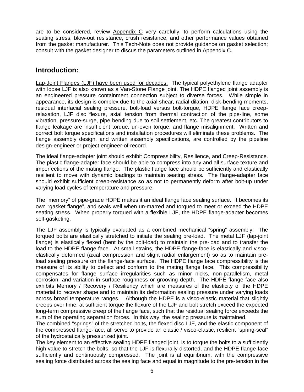are to be considered, review Appendix C very carefully, to perform calculations using the seating stress, blow-out resistance, crush resistance, and other performance values obtained from the gasket manufacturer. This Tech-Note does not provide guidance on gasket selection; consult with the gasket designer to discus the parameters outlined in Appendix C.

#### **Introduction:**

Lap-Joint Flanges (LJF) have been used for decades. The typical polyethylene flange adapter with loose LJF is also known as a Van-Stone Flange joint. The HDPE flanged joint assembly is an engineered pressure containment connection subject to diverse forces. While simple in appearance, its design is complex due to the axial shear, radial dilation, disk-bending moments, residual interfacial sealing pressure, bolt-load versus bolt-torque, HDPE flange face creeprelaxation, LJF disc flexure, axial tension from thermal contraction of the pipe-line, some vibration, pressure-surge, pipe bending due to soil settlement, etc. The greatest contributors to flange leakage are insufficient torque, un-even torque, and flange misalignment. Written and correct bolt torque specifications and installation procedures will eliminate these problems. The flange assembly design, and written assembly specifications, are controlled by the pipeline design-engineer or project engineer-of-record.

The ideal flange-adapter joint should exhibit Compressibility, Resilience, and Creep-Resistance. The plastic flange-adapter face should be able to compress into any and all surface texture and imperfections of the mating flange. The plastic flange face should be sufficiently and elastically resilient to move with dynamic loadings to maintain seating stress. The flange-adapter face should exhibit sufficient creep-resistance so as not to permanently deform after bolt-up under varying load cycles of temperature and pressure.

The "memory" of pipe-grade HDPE makes it an ideal flange face sealing surface. It becomes its own "gasket flange", and seals well when un-marred and torqued to meet or exceed the HDPE seating stress. When properly torqued with a flexible LJF, the HDPE flange-adapter becomes self-gasketing.

The LJF assembly is typically evaluated as a combined mechanical "spring" assembly. The torqued bolts are elastically stretched to initiate the sealing pre-load. The metal LJF (lap-joint flange) is elastically flexed (bent by the bolt-load) to maintain the pre-load and to transfer the load to the HDPE flange face. At small strains, the HDPE flange-face is elastically and viscoelastically deformed (axial compression and slight radial enlargement) so as to maintain preload sealing pressure on the flange-face surface. The HDPE flange face compressibility is the measure of its ability to deflect and conform to the mating flange face. This compressibility compensates for flange surface irregularities such as minor nicks, non-parallelism, metal corrosion, and variation in surface roughness or grooving depth. The HDPE flange face also exhibits Memory / Recovery / Resiliency which are measures of the elasticity of the HDPE material to recover shape and to maintain its deformation sealing pressure under varying loads across broad temperature ranges. Although the HDPE is a visco-elastic material that slightly creeps over time, at sufficient torque the flexure of the LJF and bolt stretch exceed the expected long-term compressive creep of the flange face, such that the residual sealing force exceeds the sum of the operating separation forces. In this way, the sealing pressure is maintained.

The combined "springs" of the stretched bolts, the flexed disc LJF, and the elastic component of the compressed flange-face, all serve to provide an elastic / visco-elastic, resilient "spring-seal" of the hydrostatically pressurized joint.

The key element to an effective sealing HDPE flanged joint, is to torque the bolts to a sufficiently high value to stretch the bolts, so that the LJF is flexurally distorted, and the HDPE flange-face sufficiently and continuously compressed. The joint is at equilibrium, with the compressive sealing force distributed across the sealing face and equal in magnitude to the pre-tension in the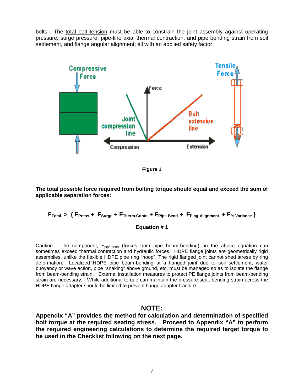bolts. The total bolt tension must be able to constrain the joint assembly against operating pressure, surge pressure, pipe-line axial thermal contraction, and pipe bending strain from soil settlement, and flange angular alignment; all with an applied safety factor.



**Figure 1**

#### **The total possible force required from bolting torque should equal and exceed the sum of applicable separation forces:**

#### **FTotal > { FPress + FSurge + FTherm.Contr. + FPipe-Bend + FFlng-Alignment + F% Variance }**

#### **Equation # 1**

Caution: The component,  $F_{pipe\text{-}bend}$  (forces from pipe beam-bending), in the above equation can sometimes exceed thermal contraction and hydraulic forces. HDPE flange joints are geometrically rigid assemblies, unlike the flexible HDPE pipe ring "hoop". The rigid flanged joint cannot shed stress by ring deformation. Localized HDPE pipe beam-bending at a flanged joint due to soil settlement, water buoyancy or wave action, pipe "snaking" above ground, etc, must be managed so as to isolate the flange from beam-bending strain. External installation measures to protect PE flange joints from beam-bending strain are necessary. While additional torque can maintain the pressure seal, bending strain across the HDPE flange adapter should be limited to prevent flange adapter fracture.

#### **NOTE:**

**Appendix "A" provides the method for calculation and determination of specified bolt torque at the required seating stress. Proceed to Appendix "A" to perform the required engineering calculations to determine the required target torque to be used in the Checklist following on the next page.**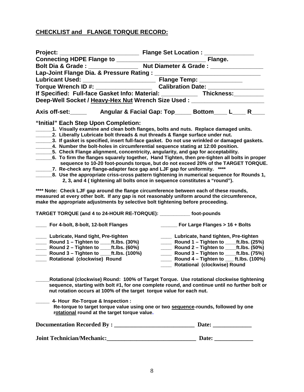#### **CHECKLIST and FLANGE TORQUE RECORD:**

| If Specified: Full-face Gasket Info: Material: ______________ Thickness: ________                                                                                                                                                                                                                                                                                                                                                                                                                                                                                                                                                                                                                                                                                                                                                                                                                                                                                                                                                                                                                                           |                                              |                                                                                                                                                                                                                                     |      |  |
|-----------------------------------------------------------------------------------------------------------------------------------------------------------------------------------------------------------------------------------------------------------------------------------------------------------------------------------------------------------------------------------------------------------------------------------------------------------------------------------------------------------------------------------------------------------------------------------------------------------------------------------------------------------------------------------------------------------------------------------------------------------------------------------------------------------------------------------------------------------------------------------------------------------------------------------------------------------------------------------------------------------------------------------------------------------------------------------------------------------------------------|----------------------------------------------|-------------------------------------------------------------------------------------------------------------------------------------------------------------------------------------------------------------------------------------|------|--|
| Deep-Well Socket / Heavy-Hex Nut Wrench Size Used : ____________________________                                                                                                                                                                                                                                                                                                                                                                                                                                                                                                                                                                                                                                                                                                                                                                                                                                                                                                                                                                                                                                            |                                              |                                                                                                                                                                                                                                     |      |  |
|                                                                                                                                                                                                                                                                                                                                                                                                                                                                                                                                                                                                                                                                                                                                                                                                                                                                                                                                                                                                                                                                                                                             |                                              |                                                                                                                                                                                                                                     |      |  |
| "Initial" Each Step Upon Completion:<br>1. Visually examine and clean both flanges, bolts and nuts. Replace damaged units.<br>2. Liberally Lubricate bolt threads & nut threads & flange surface under nut.<br>3. If gasket is specified, insert full-face gasket. Do not use wrinkled or damaged gaskets.<br>4. Number the bolt-holes in circumferential sequence stating at 12:00 position.<br>5. Check Flange alignment, concentricity, angularity, and gap for acceptability.<br>6. To firm the flanges squarely together, Hand Tighten, then pre-tighten all bolts in proper<br>sequence to 10-20 foot-pounds torque, but do not exceed 20% of the TARGET TORQUE.<br>7. Re-check any flange-adapter face gap and LJF gap for uniformity.<br>_________8. Use the appropriate criss-cross pattern tightening in numerical sequence for Rounds 1,<br>2, 3, and 4 (tightening all bolts once in sequence constitutes a "round").<br>**** Note: Check LJF gap around the flange circumference between each of these rounds,<br>measured at every other bolt. If any gap is not reasonably uniform around the circumference, |                                              |                                                                                                                                                                                                                                     | **** |  |
| make the appropriate adjustments by selective bolt tightening before proceeding.<br>TARGET TORQUE (and 4 to 24-HOUR RE-TORQUE): ___________ foot-pounds                                                                                                                                                                                                                                                                                                                                                                                                                                                                                                                                                                                                                                                                                                                                                                                                                                                                                                                                                                     |                                              |                                                                                                                                                                                                                                     |      |  |
|                                                                                                                                                                                                                                                                                                                                                                                                                                                                                                                                                                                                                                                                                                                                                                                                                                                                                                                                                                                                                                                                                                                             |                                              |                                                                                                                                                                                                                                     |      |  |
| For 4-bolt, 8-bolt, 12-bolt Flanges                                                                                                                                                                                                                                                                                                                                                                                                                                                                                                                                                                                                                                                                                                                                                                                                                                                                                                                                                                                                                                                                                         | $\frac{1}{2}$ For Large Flanges > 16 + Bolts |                                                                                                                                                                                                                                     |      |  |
| ____ Lubricate, Hand tight, Pre-tighten<br>____ Round 1 – Tighten to _____ft.lbs. (30%)<br><b>Example 2</b> - Tighten to ____ft.Ibs. (60%)<br>____ Round 3 – Tighten to ____ft.Ibs. (100%)<br>Rotational (clockwise) Round                                                                                                                                                                                                                                                                                                                                                                                                                                                                                                                                                                                                                                                                                                                                                                                                                                                                                                  |                                              | ___ Lubricate, hand tighten, Pre-tighten<br>____ Round 2 – Tighten to ____ft.Ibs. (50%)<br>____ Round 3 – Tighten to ____ft.Ibs. (75%)<br>Round 4 – Tighten to $_{\text{int.}}$ ft.lbs. (100%)<br>____ Rotational (clockwise) Round |      |  |
| Rotational (clockwise) Round: 100% of Target Torque. Use rotational clockwise tightening<br>sequence, starting with bolt #1, for one complete round, and continue until no further bolt or<br>nut rotation occurs at 100% of the target torque value for each nut.                                                                                                                                                                                                                                                                                                                                                                                                                                                                                                                                                                                                                                                                                                                                                                                                                                                          |                                              |                                                                                                                                                                                                                                     |      |  |
| 4- Hour Re-Torque & Inspection :<br>Re-torque to target torque value using one or two sequence-rounds, followed by one<br>rotational round at the target torque value.                                                                                                                                                                                                                                                                                                                                                                                                                                                                                                                                                                                                                                                                                                                                                                                                                                                                                                                                                      |                                              |                                                                                                                                                                                                                                     |      |  |
|                                                                                                                                                                                                                                                                                                                                                                                                                                                                                                                                                                                                                                                                                                                                                                                                                                                                                                                                                                                                                                                                                                                             |                                              |                                                                                                                                                                                                                                     |      |  |
|                                                                                                                                                                                                                                                                                                                                                                                                                                                                                                                                                                                                                                                                                                                                                                                                                                                                                                                                                                                                                                                                                                                             |                                              |                                                                                                                                                                                                                                     |      |  |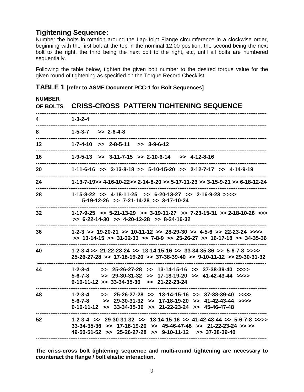#### **Tightening Sequence:**

Number the bolts in rotation around the Lap-Joint Flange circumference in a clockwise order, beginning with the first bolt at the top in the nominal 12:00 position, the second being the next bolt to the right, the third being the next bolt to the right, etc, until all bolts are numbered sequentially.

Following the table below, tighten the given bolt number to the desired torque value for the given round of tightening as specified on the Torque Record Checklist.

| <b>NUMBER</b><br><b>OF BOLTS</b> | <b>CRISS-CROSS PATTERN TIGHTENING SEQUENCE</b>                                                                                                                                                                              |
|----------------------------------|-----------------------------------------------------------------------------------------------------------------------------------------------------------------------------------------------------------------------------|
| 4                                | $1 - 3 - 2 - 4$                                                                                                                                                                                                             |
| 8                                | $1 - 5 - 3 - 7$ $>>$ 2-6-4-8                                                                                                                                                                                                |
| 12                               | $1-7-4-10$ >> $2-8-5-11$ >> $3-9-6-12$                                                                                                                                                                                      |
| 16                               | $1-9-5-13$ >> $3-11-7-15$ >> $2-10-6-14$ >> $4-12-8-16$                                                                                                                                                                     |
| 20                               | $1-11-6-16$ >> $3-13-8-18$ >> $5-10-15-20$ >> $2-12-7-17$ >> $4-14-9-19$                                                                                                                                                    |
| 24                               | $1-13-7-19$ >> $4-16-10-22$ >> 2-14-8-20 >> 5-17-11-23 >> 3-15-9-21 >> 6-18-12-24                                                                                                                                           |
| 28                               | $1-15-8-22$ >> $4-18-11-25$ >> $6-20-13-27$ >> $2-16-9-23$ >>>><br>$5-19-12-26$ >> $7-21-14-28$ >> $3-17-10-24$                                                                                                             |
| 32                               | $1-17-9-25$ >> $5-21-13-29$ >> $3-19-11-27$ >> $7-23-15-31$ >> $2-18-10-26$ >>><br>$>> 6-22-14-30 >> 4-20-12-28 >> 8-24-16-32$                                                                                              |
| 36                               | $1-2-3$ >> $19-20-21$ >> $10-11-12$ >> $28-29-30$ >> $4-5-6$ >> $22-23-24$ >>>><br>$>> 13-14-15 >> 31-32-33 >> 7-8-9 >> 25-26-27 >> 16-17-18 >> 34-35-36$                                                                   |
| 40                               | $1-2-3-4 >> 21-22-23-24 >> 13-14-15-16 >> 33-34-35-36 >> 5-6-7-8 >>$<br>$25-26-27-28$ >> 17-18-19-20 >> 37-38-39-40 >> 9-10-11-12 >> 29-30-31-32                                                                            |
| 44                               | $1 - 2 - 3 - 4$<br>$>>$ 25-26-27-28 $>>$ 13-14-15-16 $>>$ 37-38-39-40 $>>$<br>$>>$ 29-30-31-32 $>>$ 17-18-19-20 $>>$ 41-42-43-44 $>>$<br>$5 - 6 - 7 - 8$<br>$9-10-11-12$ >> $33-34-35-36$ >> $21-22-23-24$                  |
| 48                               | $1-2-3-4$ $>>$ $25-26-27-28$ $>>$ $13-14-15-16$ $>>$ $37-38-39-40$ $>>$<br>$5-6-7-8$ >> $29-30-31-32$ >> $17-18-19-20$ >> $41-42-43-44$ >>>><br>$9-10-11-12$ >> $33-34-35-36$ >> $21-22-23-24$ >> $45-46-47-48$             |
| 52                               | $1-2-3-4$ >> $29-30-31-32$ >> $13-14-15-16$ >> $41-42-43-44$ >> $5-6-7-8$ >>>><br>$33-34-35-36$ >> $17-18-19-20$ >> $45-46-47-48$ >> $21-22-23-24$ >> >><br>$49-50-51-52$ >> $25-26-27-28$ >> $9-10-11-12$ >> $37-38-39-40$ |

**TABLE 1 [refer to ASME Document PCC-1 for Bolt Sequences]**

**The criss-cross bolt tightening sequence and multi-round tightening are necessary to counteract the flange / bolt elastic interaction.**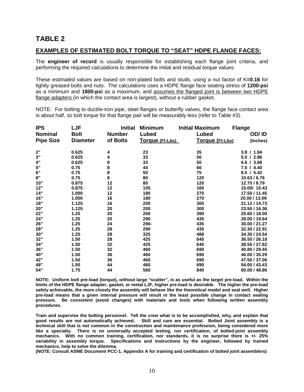## **TABLE 2**

#### **EXAMPLES OF ESTIMATED BOLT TORQUE TO "SEAT" HDPE FLANGE FACES:**

The **engineer of record** is usually responsible for establishing each flange joint criteria, and performing the required calculations to determine the initial and residual torque values.

These estimated values are based on non-plated bolts and studs, using a nut factor of K**=0.16** for lightly greased bolts and nuts. The calculations uses a HDPE flange face seating stress of **1200-psi** as a minimum and **1800-psi** as a maximum, and assumes the flanged joint is between two HDPE flange adapters (in which the contact area is largest), without a rubber gasket.

NOTE: For bolting to ductile-iron pipe, steel flanges or butterfly valves, the flange face contact area is about half, so bolt torque for that flange pair will be measurably less (refer to Table #3).

| <b>IPS</b>       | LJF             | <b>Initial</b> | <b>Minimum</b>  | <b>Initial Maximum</b> | <b>Flange</b> |
|------------------|-----------------|----------------|-----------------|------------------------|---------------|
| <b>Nominal</b>   | <b>Bolt</b>     | <b>Number</b>  | Lubed           | Lubed                  | OD/ ID        |
| <b>Pipe Size</b> | <b>Diameter</b> | of Bolts       | Torque (Ft-Lbs) | <b>Torque (Ft-Lbs)</b> | (Inches)      |
| 2"               | 0.625           | 4              | 23              | 35                     | 3.9 / 1.94    |
| 3"               | 0.625           | 4              | 33              | 50                     | 5.0 / 2.86    |
| $4"$             | 0.625           | 8<br>8         | 33              | 50                     | 6.6 / 3.68    |
| $5"$             | 0.75            |                | 44              | 66                     | 7.5 / 4.40    |
| $6"$             | 0.75            | 8              | 50              | 75                     | 8.5 / 5.42    |
| $8"$             | 0.75            | 8              | 80              | 120                    | 10.63 / 6.76  |
| 10"              | 0.875           | 12             | 80              | 120                    | 12.75 / 8.79  |
| 12"              | 0.875           | 12             | 105             | 160                    | 15.00/ 10.43  |
| 14"              | 1.000           | 12             | 180             | 270                    | 17.50 / 11.45 |
| 16"              | 1.000           | 16             | 180             | 270                    | 20.00 / 13.09 |
| 18"              | 1.125           | 16             | 200             | 300                    | 21.12 / 14.73 |
| 20"              | 1.125           | 20             | 200             | 300                    | 23.50 / 16.36 |
| 22"              | 1.25            | 20             | 260             | 390                    | 25.60 / 18.00 |
| 24"              | 1.25            | 20             | 290             | 435                    | 28.00 / 19.64 |
| 26"              | 1.25            | 24             | 290-            | 435                    | 30.00 / 21.27 |
| 28"              | 1.25            | 28             | 290             | 435                    | 32.30 / 22.91 |
| 30"              | 1.25            | 28             | 325             | 488                    | 34.30 / 24.54 |
| 32"              | 1.50            | 28             | 425             | 640                    | 36.50 / 26.18 |
| 34"              | 1.50            | 32             | 425             | 640                    | 38.50 / 27.82 |
| 36"              | 1.50            | 32             | 460             | 690                    | 40.80 / 29.45 |
| 40"              | 1.50            | 36             | 460             | 690                    | 46.00 / 35.29 |
| 42"              | 1.50            | 36             | 460             | 690                    | 47.50 / 37.06 |
| 48"              | 1.50            | 44             | 460             | 690                    | 54.00 / 43.43 |
| 54"              | 1.75            | 44             | 560             | 840                    | 60.00 / 48.86 |

**NOTE: Uniform bolt pre-load (torque), without large "scatter", is as useful as the target pre-load. Within the limits of the HDPE flange adapter, gasket, or metal LJF, higher pre-load is desirable. The higher the pre-load safely achievable, the more closely the assembly will behave like the theoretical model and seal well. Higher pre-load means that a given internal pressure will result in the least possible change in contact sealing pressure. Be consistent (avoid changes) with materials and tools when following written assembly procedures.** 

**Train and supervise the bolting personnel. Tell the crew what is to be accomplished, why, and explain that good results are not automatically achieved. Skill and care are essential. Bolted Joint assembly is a technical skill that is not common in the construction and maintenance profession, being considered more like a specialty. There is no universally accepted testing, nor certification, of bolted-joint assembly mechanics. With no common training, certification, nor standards, it is no surprise there is +/- 25% variability in assembly torque. Specifications and instructions by the engineer, followed by trained mechanics, help to solve the dilemma.**

**(NOTE: Consult ASME Document PCC-1, Appendix A for training and certification of bolted joint assemblers)**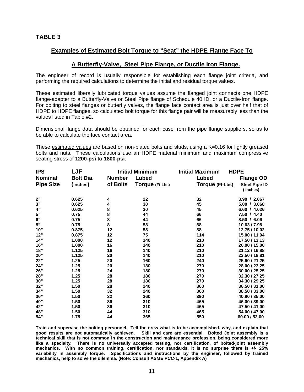#### **Examples of Estimated Bolt Torque to "Seat" the HDPE Flange Face To**

#### **A Butterfly-Valve, Steel Pipe Flange, or Ductile Iron Flange.**

The engineer of record is usually responsible for establishing each flange joint criteria, and performing the required calculations to determine the initial and residual torque values.

These estimated liberally lubricated torque values assume the flanged joint connects one HDPE flange-adapter to a Butterfly-Valve or Steel Pipe flange of Schedule 40 ID, or a Ductile-Iron flange. For bolting to steel flanges or butterfly valves, the flange face contact area is just over half that of HDPE to HDPE flanges, so calculated bolt torque for this flange pair will be measurably less than the values listed in Table #2.

Dimensional flange data should be obtained for each case from the pipe flange suppliers, so as to be able to calculate the face contact area.

These estimated values are based on non-plated bolts and studs, using a K=0.16 for lightly greased bolts and nuts. These calculations use an HDPE material minimum and maximum compressive seating stress of **1200-psi to 1800-psi.**

| <b>IPS</b>       | <b>LJF</b>       | <b>Initial Minimum</b> |                 | <b>HDPE</b><br><b>Initial Maximum</b> |                                  |  |  |
|------------------|------------------|------------------------|-----------------|---------------------------------------|----------------------------------|--|--|
| <b>Nominal</b>   | <b>Bolt Dia.</b> | <b>Number</b>          | Lubed           | Lubed                                 | <b>Flange OD</b>                 |  |  |
| <b>Pipe Size</b> | (inches)         | of Bolts               | Torque (Ft-Lbs) | <b>Torque (Ft-Lbs)</b>                | <b>Steel Pipe ID</b><br>(inches) |  |  |
| 2"               | 0.625            | 4                      | 22              | 32                                    | 3.90 / 2.067                     |  |  |
| $3"$             | 0.625            | 4                      | 30              | 45                                    | 5.00 / 3.068                     |  |  |
| 4"               | 0.625            | 8                      | 30              | 45                                    | 6.60 / 4.026                     |  |  |
| $5"$             | 0.75             | 8                      | 44              | 66                                    | 7.50 / 4.40                      |  |  |
| $6"$             | 0.75             | 8                      | 44              | 66                                    | 8.50 / 6.06                      |  |  |
| 8"               | 0.75             | 8                      | 58              | 88                                    | 10.63 / 7.98                     |  |  |
| 10"              | 0.875            | 12                     | 58              | 88                                    | 12.75 / 10.02                    |  |  |
| 12"              | 0.875            | 12                     | 75              | 114                                   | 15.00 / 11.94                    |  |  |
| 14"              | 1.000            | 12                     | 140             | 210                                   | 17.50 / 13.13                    |  |  |
| 16"              | 1.000            | 16                     | 140             | 210                                   | 20.00 / 15.00                    |  |  |
| 18"              | 1.125            | 16                     | 140             | 210                                   | 21.12 / 16.88                    |  |  |
| 20"              | 1.125            | 20                     | 140             | 210                                   | 23.50 / 18.81                    |  |  |
| 22"              | 1.25             | 20                     | 160             | 240                                   | 25.60 / 21.25                    |  |  |
| 24"              | 1.25             | 20                     | 180             | 270                                   | 28.00 / 23.25                    |  |  |
| 26"              | 1.25             | 24                     | 180             | 270                                   | 30.00 / 25.25                    |  |  |
| 28"              | 1.25             | 28                     | 180             | 270                                   | 32.30 / 27.25                    |  |  |
| 30"              | 1.25             | 28                     | 180             | 270                                   | 34.30 / 29.25                    |  |  |
| 32"              | 1.50             | 28                     | 240             | 360                                   | 36.50 / 31.00                    |  |  |
| 34"              | 1.50             | 32                     | 240             | 360                                   | 38.50 / 33.00                    |  |  |
| 36"              | 1.50             | 32                     | 260             | 390                                   | 40.80 / 35.00                    |  |  |
| 40"              | 1.50             | 36                     | 310             | 465                                   | 46.00 / 39.00                    |  |  |
| 42"              | 1.50             | 36                     | 310             | 465                                   | 47.50 / 41.00                    |  |  |
| 48"              | 1.50             | 44                     | 310             | 465                                   | 54.00 / 47.00                    |  |  |
| 54"              | 1.75             | 44                     | 365             | 550                                   | 60.00 / 53.00                    |  |  |

**Train and supervise the bolting personnel. Tell the crew what is to be accomplished, why, and explain that good results are not automatically achieved. Skill and care are essential. Bolted Joint assembly is a technical skill that is not common in the construction and maintenance profession, being considered more like a specialty. There is no universally accepted testing, nor certification, of bolted-joint assembly mechanics. With no common training, certification, nor standards, it is no surprise there is +/- 25% variability in assembly torque. Specifications and instructions by the engineer, followed by trained mechanics, help to solve the dilemma. (Note: Consult ASME PCC-1, Appendix A)**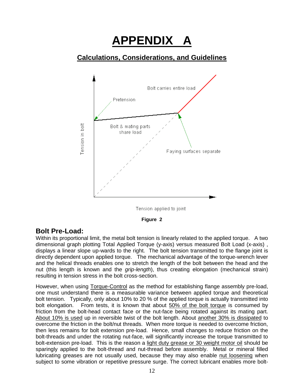# **APPENDIX A**

## **Calculations, Considerations, and Guidelines**



Tension applied to joint



## **Bolt Pre-Load:**

Within its proportional limit, the metal bolt tension is linearly related to the applied torque. A two dimensional graph plotting Total Applied Torque (y-axis) versus measured Bolt Load (x-axis) , displays a linear slope up-wards to the right. The bolt tension transmitted to the flange joint is directly dependent upon applied torque. The mechanical advantage of the torque-wrench lever and the helical threads enables one to stretch the length of the bolt between the head and the nut (this length is known and the *grip-length*), thus creating elongation (mechanical strain) resulting in tension stress in the bolt cross-section.

However, when using Torque-Control as the method for establishing flange assembly pre-load, one must understand there is a measurable variance between applied torque and theoretical bolt tension. Typically, only about 10% to 20 % of the applied torque is actually transmitted into bolt elongation. From tests, it is known that about 50% of the bolt torque is consumed by friction from the bolt-head contact face or the nut-face being rotated against its mating part. About 10% is used up in reversible twist of the bolt length. About another 30% is dissipated to overcome the friction in the bolt/nut threads. When more torque is needed to overcome friction, then less remains for bolt extension pre-load. Hence, small changes to reduce friction on the bolt-threads and under the rotating nut-face, will significantly increase the torque transmitted to bolt-extension pre-load. This is the reason a light duty grease or 30 weight motor oil should be sparingly applied to the bolt-thread and nut-thread before assembly. Metal or mineral filled lubricating greases are not usually used, because they may also enable nut loosening when subject to some vibration or repetitive pressure surge. The correct lubricant enables more bolt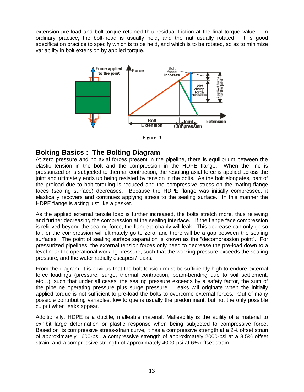extension pre-load and bolt-torque retained thru residual friction at the final torque value. In ordinary practice, the bolt-head is usually held, and the nut usually rotated. It is good specification practice to specify which is to be held, and which is to be rotated, so as to minimize variability in bolt extension by applied torque.



**Figure 3**

#### **Bolting Basics : The Bolting Diagram**

At zero pressure and no axial forces present in the pipeline, there is equilibrium between the elastic tension in the bolt and the compression in the HDPE flange. When the line is pressurized or is subjected to thermal contraction, the resulting axial force is applied across the joint and ultimately ends up being resisted by tension in the bolts. As the bolt elongates, part of the preload due to bolt torquing is reduced and the compressive stress on the mating flange faces (sealing surface) decreases. Because the HDPE flange was initially compressed, it elastically recovers and continues applying stress to the sealing surface. In this manner the HDPE flange is acting just like a gasket.

As the applied external tensile load is further increased, the bolts stretch more, thus relieving and further decreasing the compression at the sealing interface. If the flange face compression is relieved beyond the sealing force, the flange probably will leak. This decrease can only go so far, or the compression will ultimately go to zero, and there will be a gap between the sealing surfaces. The point of sealing surface separation is known as the "decompression point". For pressurized pipelines, the external tension forces only need to decrease the pre-load down to a level near the operational working pressure, such that the working pressure exceeds the sealing pressure, and the water radially escapes / leaks.

From the diagram, it is obvious that the bolt-tension must be sufficiently high to endure external force loadings (pressure, surge, thermal contraction, beam-bending due to soil settlement, etc…), such that under all cases, the sealing pressure exceeds by a safety factor, the sum of the pipeline operating pressure plus surge pressure. Leaks will originate when the initially applied torque is not sufficient to pre-load the bolts to overcome external forces. Out of many possible contributing variables, low torque is usually the predominant, but not the only possible culprit when leaks appear.

Additionally, HDPE is a ductile, malleable material. Malleability is the ability of a material to exhibit large deformation or plastic response when being subjected to compressive force. Based on its compressive stress-strain curve, it has a compressive strength at a 2% offset strain of approximately 1600-psi, a compressive strength of approximately 2000-psi at a 3.5% offset strain, and a compressive strength of approximately 4000-psi at 6% offset-strain.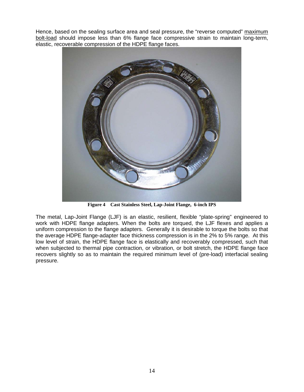Hence, based on the sealing surface area and seal pressure, the "reverse computed" maximum bolt-load should impose less than 6% flange face compressive strain to maintain long-term, elastic, recoverable compression of the HDPE flange faces.



**Figure 4 Cast Stainless Steel, Lap-Joint Flange, 6-inch IPS**

The metal, Lap-Joint Flange (LJF) is an elastic, resilient, flexible "plate-spring" engineered to work with HDPE flange adapters. When the bolts are torqued, the LJF flexes and applies a uniform compression to the flange adapters. Generally it is desirable to torque the bolts so that the average HDPE flange-adapter face thickness compression is in the 2% to 5% range. At this low level of strain, the HDPE flange face is elastically and recoverably compressed, such that when subjected to thermal pipe contraction, or vibration, or bolt stretch, the HDPE flange face recovers slightly so as to maintain the required minimum level of (pre-load) interfacial sealing pressure.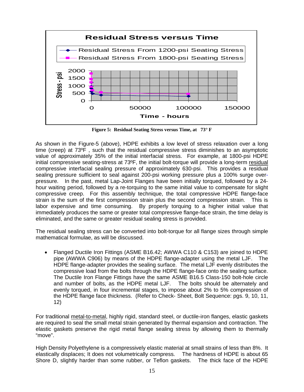

**Figure 5: Residual Seating Stress versus Time, at 73° F**

As shown in the Figure-5 (above), HDPE exhibits a low level of stress relaxation over a long time (creep) at 73ºF , such that the residual compressive stress diminishes to an asymptotic value of approximately 35% of the initial interfacial stress. For example, at 1800-psi HDPE initial compressive seating-stress at 73ºF, the initial bolt-torque will provide a long-term residual compressive interfacial sealing pressure of approximately 630-psi. This provides a residual sealing pressure sufficient to seal against 200-psi working pressure plus a 100% surge overpressure. In the past, metal Lap-Joint Flanges have been initially torqued, followed by a 24 hour waiting period, followed by a re-torquing to the same initial value to compensate for slight compressive creep. For this assembly technique, the total compressive HDPE flange-face strain is the sum of the first compression strain plus the second compression strain. This is labor expensive and time consuming. By properly torquing to a higher initial value that immediately produces the same or greater total compressive flange-face strain, the time delay is eliminated, and the same or greater residual sealing stress is provided.

The residual sealing stress can be converted into bolt-torque for all flange sizes through simple mathematical formulae, as will be discussed.

• Flanged Ductile Iron Fittings (ASME B16.42; AWWA C110 & C153) are joined to HDPE pipe (AWWA C906) by means of the HDPE flange-adapter using the metal LJF. The HDPE flange-adapter provides the sealing surface. The metal LJF evenly distributes the compressive load from the bolts through the HDPE flange-face onto the sealing surface. The Ductile Iron Flange Fittings have the same ASME B16.5 Class-150 bolt-hole circle and number of bolts, as the HDPE metal LJF. The bolts should be alternately and evenly torqued, in four incremental stages, to impose about 2% to 5% compression of the HDPE flange face thickness. (Refer to Check- Sheet, Bolt Sequence: pgs. 9, 10, 11, 12)

For traditional metal-to-metal, highly rigid, standard steel, or ductile-iron flanges, elastic gaskets are required to seal the small metal strain generated by thermal expansion and contraction. The elastic gaskets preserve the rigid metal flange sealing stress by allowing them to thermally "move".

High Density Polyethylene is a compressively elastic material at small strains of less than 8%. It elastically displaces; It does not volumetrically compress. The hardness of HDPE is about 65 Shore D, slightly harder than some rubber, or Teflon gaskets. The thick face of the HDPE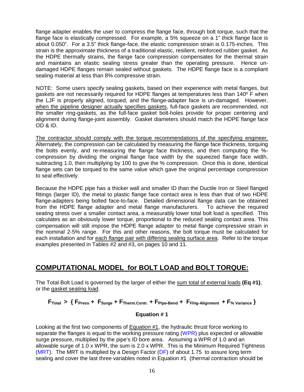flange adapter enables the user to compress the flange face, through bolt torque, such that the flange face is elastically compressed. For example, a 5% squeeze on a 1" thick flange face is about 0.050". For a 3.5" thick flange-face, the elastic compression strain is 0.175-inches. This strain is the approximate thickness of a traditional elastic, resilient, reinforced rubber gasket. As the HDPE thermally strains, the flange face compression compensates for the thermal strain and maintains an elastic sealing stress greater than the operating pressure. Hence undamaged HDPE flanges remain sealed without gaskets. The HDPE flange face is a compliant sealing material at less than 8% compressive strain.

NOTE: Some users specify sealing gaskets, based on their experience with metal flanges, but gaskets are not necessarily required for HDPE flanges at temperatures less than 140º F when the LJF is properly aligned, torqued, and the flange-adapter face is un-damaged. However, when the pipeline designer actually specifies gaskets, full-face gaskets are recommended, not the smaller ring-gaskets, as the full-face gasket bolt-holes provide for proper centering and alignment during flange-joint assembly. Gasket diameters should match the HDPE flange face OD & ID.

The contractor should comply with the torque recommendations of the specifying engineer. Alternately, the compression can be calculated by measuring the flange face thickness, torquing the bolts evenly, and re-measuring the flange face thickness, and then computing the % compression by dividing the original flange face width by the squeezed flange face width, subtracting 1.0, then multiplying by 100 to give the % compression.Once this is done, identical flange sets can be torqued to the same value which gave the original percentage compression to seal effectively.

Because the HDPE pipe has a thicker wall and smaller ID than the Ductile Iron or Steel flanged fittings (larger ID), the metal to plastic flange face contact area is less than that of two HDPE flange-adapters being bolted face-to-face. Detailed dimensional flange data can be obtained from the HDPE flange adapter and metal flange manufacturers. To achieve the required seating stress over a smaller contact area, a measurably lower total bolt load is specified. This calculates as an obviously lower torque, proportional to the reduced sealing contact area. This compensation will still impose the HDPE flange adapter to metal flange compressive strain in the nominal 2-5% range. For this and other reasons, the bolt torque must be calculated for each installation and for each flange pair with differing sealing surface area. Refer to the torque examples presented in Tables #2 and #3, on pages 10 and 11.

## **COMPUTATIONAL MODEL for BOLT LOAD and BOLT TORQUE:**

The Total Bolt Load is governed by the larger of either the sum total of external loads **(Eq #1)**, or the gasket seating load.

**FTotal > { FPress + FSurge + FTherm.Contr. + FPipe-Bend + FFlng-Alignment + F% Variance }**

#### **Equation # 1**

Looking at the first two components of Equation #1, the hydraulic thrust force working to separate the flanges is equal to the working pressure rating (WPR) plus expected or allowable surge pressure, multiplied by the pipe's ID bore area. Assuming a WPR of 1.0 and an allowable surge of 1.0 x WPR, the sum is 2.0 x WPR. This is the Minimum Required Tightness (MRT). The MRT is multiplied by a Design Factor  $(DF)$  of about 1.75 to assure long term sealing and cover the last three variables noted in Equation #1 (thermal contraction should be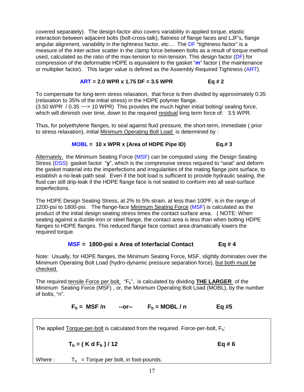covered separately). The design-factor also covers variability in applied torque, elastic interaction between adjacent bolts (bolt-cross-talk), flatness of flange faces and LJF's, flange angular alignment, variability in the tightness factor, etc... The DF "tightness factor" is a measure of the inter-active scatter in the clamp force between bolts as a result of torque method used, calculated as the ratio of the max-tension to min-tension. This design factor (DF) for compression of the deformable HDPE is equivalent to the gasket "**m**" factor ( the maintenance or multiplier factor). This larger value is defined as the Assembly Required Tightness (ART).

#### **ART = 2.0 WPR x 1.75 DF = 3.5 WPR Eq # 2**

To compensate for long-term stress relaxation, that force is then divided by approximately 0.35 (relaxation to 35% of the initial stress) in the HDPE polymer flange. (3.50 WPR / 0.35 ~~> 10 WPR) This provides the much higher initial bolting/ sealing force, which will diminish over time, down to the required residual long term force of: 3.5 WPR.

Thus, for polyethylene flanges, to seal against fluid pressure, the short-term, immediate ( prior to stress relaxation), initial Minimum Operating Bolt Load is determined by :

#### **MOBL = 10 x WPR x (Area of HDPE Pipe ID) Eq.# 3**

Alternately, the Minimum Seating Force (MSF) can be computed using the Design Seating Stress (DSS) gasket factor "**y**", which is the compressive stress required to "seat" and deform the gasket material into the imperfections and irregularities of the mating flange joint surface, to establish a no-leak-path seal. Even if the bolt load is sufficient to provide hydraulic sealing, the fluid can still drip-leak if the HDPE flange face is not seated to conform into all seal-surface imperfections.

The HDPE Design Seating Stress, at 2% to 5% strain, at less than 100ºF, is in the range of 1200-psi to 1800-psi. The flange-face Minimum Seating Force (MSF) is calculated as the product of the initial design seating stress times the contact surface area. ( NOTE: When seating against a ductile-iron or steel flange, the contact area is less than when bolting HDPE flanges to HDPE flanges. This reduced flange face contact area dramatically lowers the required torque.

#### **MSF = 1800-psi x Area of Interfacial Contact Eq # 4**

Note: Usually, for HDPE flanges, the Minimum Seating Force, MSF, slightly dominates over the Minimum Operating Bolt Load (hydro-dynamic pressure separation force), but both must be checked.

The required tensile Force per bolt, "F<sub>b</sub>", is calculated by dividing **THE LARGER** of the Minimum Seating Force (MSF) , or, the Minimum Operating Bolt Load (MOBL), by the number of bolts, "n".

 $F_b$  = MSF/n --or--  $F_b$  = MOBL/n Eq #5

The applied Torque-per-bolt is calculated from the required Force-per-bolt,  $F_b$ :

 $T_b = (K d F_b) / 12$  Eq # 6

Where :  $T_b$  = Torque per bolt, in foot-pounds.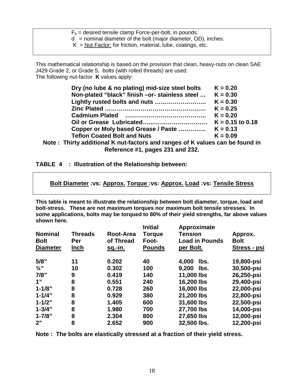| $F_b$ = desired tensile clamp Force-per-bolt, in pounds.         |  |
|------------------------------------------------------------------|--|
| $d =$ nominal diameter of the bolt (major diameter, OD), inches. |  |
| $K = N$ ut Factor: for friction, material, lube, coatings, etc.  |  |
|                                                                  |  |

This mathematical relationship is based on the provision that clean, heavy-nuts on clean SAE J429 Grade 2, or Grade 5, bolts (with rolled threads) are used. The following nut-factor **K** values apply:

| $K = 0.20$         |
|--------------------|
| $K = 0.30$         |
| $K = 0.30$         |
| $K = 0.25$         |
| $K = 0.20$         |
| $K = 0.15$ to 0.18 |
| $K = 0.13$         |
| $K = 0.09$         |
|                    |

**Note : Thirty additional K nut-factors and ranges of K values can be found in Reference #1, pages 231 and 232.**

#### **TABLE 4 : Illustration of the Relationship between:**

**Bolt Diameter :vs: Approx. Torque :vs: Approx. Load :vs: Tensile Stress**

**This table is meant to illustrate the relationship between bolt diameter, torque, load and bolt-stress. These are not maximum torques nor maximum bolt tensile stresses. In some applications, bolts may be torqued to 80% of their yield strengths, far above values shown here.**

| <b>Nominal</b><br><b>Bolt</b><br><b>Diameter</b> | <b>Threads</b><br>Per<br><u>Inch</u> | Root-Area<br>of Thread<br><u>sq.-in.</u> | <b>Initial</b><br><b>Torque</b><br>Foot-<br><b>Pounds</b> | Approximate<br><b>Tension</b><br><b>Load in Pounds</b><br>per Bolt. | Approx.<br><b>Bolt</b><br>Stress - psi |
|--------------------------------------------------|--------------------------------------|------------------------------------------|-----------------------------------------------------------|---------------------------------------------------------------------|----------------------------------------|
| $5/8$ "                                          | 11                                   | 0.202                                    | 40                                                        | 4,000<br>lbs.                                                       | 19,800-psi                             |
| $\frac{3}{4}$ "                                  | 10                                   | 0.302                                    | 100                                                       | 9,200<br>lbs.                                                       | 30,500-psi                             |
| 7/8"                                             | 9                                    | 0.419                                    | 140                                                       | 11,000 lbs                                                          | 26,250-psi                             |
| 1"                                               | 8                                    | 0.551                                    | 240                                                       | 16,200 lbs                                                          | 29,400-psi                             |
| $1 - 1/8"$                                       | 8                                    | 0.728                                    | 260                                                       | 16,000 lbs                                                          | 22,000-psi                             |
| $1 - 1/4"$                                       | 8                                    | 0.929                                    | 380                                                       | 21,200 lbs                                                          | 22,800-psi                             |
| $1 - 1/2"$                                       | 8                                    | 1.405                                    | 600                                                       | 31,600 lbs                                                          | 22,500-psi                             |
| $1 - 3/4"$                                       | 8                                    | 1.980                                    | 700                                                       | 27,700 lbs                                                          | 14,000-psi                             |
| $1 - 7/8"$                                       | 8                                    | 2.304                                    | 800                                                       | 27,650 lbs                                                          | 12,000-psi                             |
| 2"                                               | 8                                    | 2.652                                    | 900                                                       | 32,500 lbs.                                                         | 12,200-psi                             |

**Note : The bolts are elastically stressed at a fraction of their yield stress.**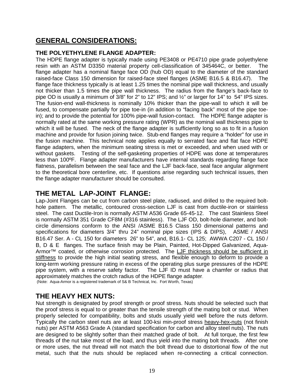## **GENERAL CONSIDERATIONS:**

#### **THE POLYETHYLENE FLANGE ADAPTER:**

The HDPE flange adapter is typically made using PE3408 or PE4710 pipe grade polyethylene resin with an ASTM D3350 material property cell-classification of 345464C, or better. The flange adapter has a nominal flange face OD (hub OD) equal to the diameter of the standard raised-face Class 150 dimension for raised-face steel flanges (ASME B16.5 & B16.47). The flange face thickness typically is at least 1.25 times the nominal pipe wall thickness, and usually not thicker than 1.5 times the pipe wall thickness. The radius from the flange's back-face to pipe OD is usually a minimum of 3/8" for 2" to 12" IPS; and ½" or larger for 14" to 54" IPS sizes. The fusion-end wall-thickness is nominally 10% thicker than the pipe-wall to which it will be fused, to compensate partially for pipe toe-in (in addition to "facing back" most of the pipe toein); and to provide the potential for 100% pipe-wall fusion-contact. The HDPE flange adapter is normally rated at the same working pressure rating (WPR) as the nominal wall thickness pipe to which it will be fused. The neck of the flange adapter is sufficiently long so as to fit in a fusion machine and provide for fusion joining twice. Stub-end flanges may require a "holder" for use in the fusion machine. This technical note applies equally to serrated face and flat face HDPE flange adapters, when the minimum seating stress is met or exceeded, and when used with or without gaskets. Testing of the self-gasketing properties of HDPE was done at temperatures less than 100ºF. Flange adapter manufacturers have internal standards regarding flange face flatness, parallelism between the seal face and the LJF back-face, seal face angular alignment to the theoretical bore centerline, etc. If questions arise regarding such technical issues, then the flange adapter manufacturer should be consulted.

## **THE METAL LAP-JOINT FLANGE:**

Lap-Joint Flanges can be cut from carbon steel plate, radiused, and drilled to the required bolthole pattern. The metallic, contoured cross-section LJF is cast from ductile-iron or stainless steel. The cast Ductile-Iron is normally ASTM A536 Grade 65-45-12. The cast Stainless Steel is normally ASTM 351 Grade CF8M (#316 stainless). The LJF OD, bolt-hole diameter, and boltcircle dimensions conform to the ANSI /ASME B16.5 Class 150 dimensional patterns and specifications for diameters 3/4" thru 24" nominal pipe sizes (IPS & DIPS), ASME / ANSI B16.47 Ser. A - CL 150 for diameters 26" to 54", and, B16.1- CL 125; AWWA C207 - CL 150 / B, D & E flanges. The surface finish may be Plain, Painted, Hot-Dipped Galvanized, Aqua-Armor™ coated, or otherwise corrosion protected. The LJF thickness should be sufficient in stiffness to provide the high initial seating stress, and flexible enough to deform to provide a long-term working pressure rating in excess of the operating plus surge pressures of the HDPE pipe system, with a reserve safety factor. The LJF ID must have a chamfer or radius that The LJF ID must have a chamfer or radius that approximately matches the crotch radius of the HDPE flange adapter. (Note: Aqua-Armor is a registered trademark of S& B Technical, Inc. Fort Worth, Texas)

#### **THE HEAVY HEX NUTS:**

Nut strength is designated by proof strength or proof stress. Nuts should be selected such that the proof stress is equal to or greater than the tensile strength of the mating bolt or stud. When properly selected for compatibility, bolts and studs usually yield well before the nuts deform. Typically the carbon steel nuts are at least 100-ksi min-proof stress heavy-hex-nuts (not finish nuts) per ASTM A563 Grade A (standard specification for carbon and alloy steel nuts). The nuts are designed to be slightly softer than their matched grade of bolt. At full torque, the first few threads of the nut take most of the load, and thus yield into the mating bolt threads. After one or more uses, the nut thread will not match the bolt thread due to distortional flow of the nut metal, such that the nuts should be replaced when re-connecting a critical connection.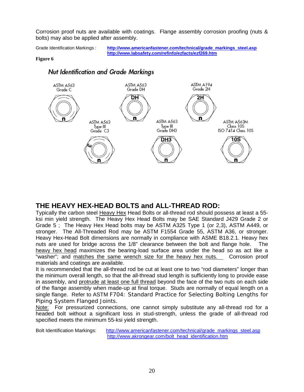Corrosion proof nuts are available with coatings. Flange assembly corrosion proofing (nuts & bolts) may also be applied after assembly.

Grade Identification Markings : **[http://www.americanfastener.com/technical/grade\\_markings\\_steel.asp](http://www.americanfastener.com/technical/grade_markings_steel.asp) <http://www.labsafety.com/refinfo/ezfacts/ezf269.htm>**

#### **Figure 6**



#### Nut Identification and Grade Markings

## **THE HEAVY HEX-HEAD BOLTS and ALL-THREAD ROD:**

Typically the carbon steel Heavy Hex Head Bolts or all-thread rod should possess at least a 55 ksi min yield strength. The Heavy Hex Head Bolts may be SAE Standard J429 Grade 2 or Grade 5 ; The Heavy Hex Head bolts may be ASTM A325 Type 1 (or 2,3), ASTM A449, or stronger. The All-Threaded Rod may be ASTM F1554 Grade 55, ASTM A36, or stronger. Heavy Hex-Head Bolt dimensions are normally in compliance with ASME B18.2.1. Heavy hex nuts are used for bridge across the 1/8" clearance between the bolt and flange hole. The heavy hex head maximizes the bearing-load surface area under the head so as act like a "washer"; and matches the same wrench size for the heavy hex nuts. Corrosion proof materials and coatings are available.

It is recommended that the all-thread rod be cut at least one to two "rod diameters" longer than the minimum overall length, so that the all-thread stud length is sufficiently long to provide ease in assembly, and protrude at least one full thread beyond the face of the two nuts on each side of the flange assembly when made-up at final torque. Studs are normally of equal length on a single flange. Refer to ASTM [F704: Standard Practice for Selecting Bolting Lengths for](javascript:onClick=GoHighlight()  [Piping System Flanged Joints.](javascript:onClick=GoHighlight()

Note: For pressurized connections, one cannot simply substitute any all-thread rod for a headed bolt without a significant loss in stud-strength, unless the grade of all-thread rod specified meets the minimum 55-ksi yield strength.

Bolt Identification Markings: [http://www.americanfastener.com/technical/grade\\_markings\\_steel.asp](http://www.americanfastener.com/technical/grade_markings_steel.asp) [http://www.akrongear.com/bolt\\_head\\_identification.htm](http://www.akrongear.com/bolt_head_identification.htm)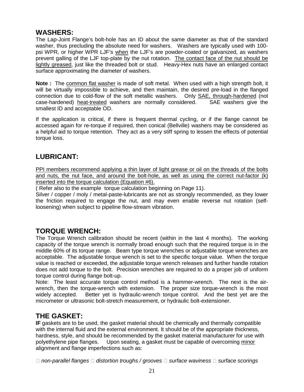#### **WASHERS:**

The Lap-Joint Flange's bolt-hole has an ID about the same diameter as that of the standard washer, thus precluding the absolute need for washers. Washers are typically used with 100 psi WPR, or higher WPR LJF's when the LJF's are powder-coated or galvanized, as washers prevent galling of the LJF top-plate by the nut rotation. The contact face of the nut should be lightly greased, just like the threaded bolt or stud. Heavy-Hex nuts have an enlarged contact surface approximating the diameter of washers.

**Note :** The common flat washer is made of soft metal. When used with a high strength bolt, it will be virtually impossible to achieve, and then maintain, the desired pre-load in the flanged connection due to cold-flow of the soft metallic washers. Only **SAE**, through-hardened (not case-hardened) heat-treated washers are normally considered. SAE washers give the smallest ID and acceptable OD.

If the application is critical, if there is frequent thermal cycling, or if the flange cannot be accessed again for re-torque if required, then conical (Bellville) washers may be considered as a helpful aid to torque retention. They act as a very stiff spring to lessen the effects of potential torque loss.

## **LUBRICANT:**

PPI members recommend applying a thin layer of light grease or oil on the threads of the bolts and nuts, the nut face, and around the bolt-hole, as well as using the correct nut-factor  $(k)$ inserted into the torque calculation (Equation #6).

( Refer also to the example torque calculation beginning on Page 11).

Silver / copper / moly / metal-paste-lubricants are not as strongly recommended, as they lower the friction required to engage the nut, and may even enable reverse nut rotation (selfloosening) when subject to pipeline flow-stream vibration.

## **TORQUE WRENCH:**

The Torque Wrench calibration should be recent (within in the last 4 months). The working capacity of the torque wrench is normally broad enough such that the required torque is in the middle 60% of its torque range. Beam type torque wrenches or adjustable torque wrenches are acceptable. The adjustable torque wrench is set to the specific torque value. When the torque value is reached or exceeded, the adjustable torque wrench releases and further handle rotation does not add torque to the bolt. Precision wrenches are required to do a proper job of uniform torque control during flange bolt-up.

Note: The least accurate torque control method is a hammer-wrench. The next is the airwrench, then the torque-wrench with extension. The proper size torque-wrench is the most widely accepted. Better yet is hydraulic-wrench torque control. And the best yet are the micrometer or ultrasonic bolt-stretch measurement, or hydraulic bolt-extensioner.

## **THE GASKET:**

**IF** gaskets are to be used, the gasket material should be chemically and thermally compatible with the internal fluid and the external environment. It should be of the appropriate thickness, hardness, style, and should be recommended by the gasket material manufacturer for use with polyethylene pipe flanges. Upon seating, a gasket must be capable of overcoming minor alignment and flange imperfections such as:

*non-parallel flanges distortion troughs / grooves surface waviness surface scorings*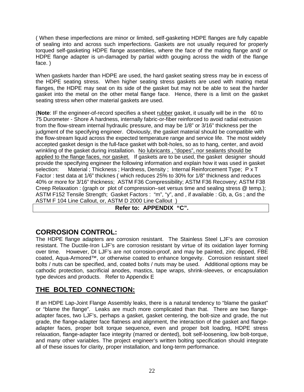( When these imperfections are minor or limited, self-gasketing HDPE flanges are fully capable of sealing into and across such imperfections. Gaskets are not usually required for properly torqued self-gasketing HDPE flange assemblies, where the face of the mating flange and/ or HDPE flange adapter is un-damaged by partial width gouging across the width of the flange face. )

When gaskets harder than HDPE are used, the hard gasket seating stress may be in excess of the HDPE seating stress. When higher seating stress gaskets are used with mating metal flanges, the HDPE may seat on its side of the gasket but may not be able to seat the harder gasket into the metal on the other metal flange face. Hence, there is a limit on the gasket seating stress when other material gaskets are used.

(**Note**: IF the engineer-of-record specifies a sheet rubber gasket, it usually will be in the 60 to 75 Durometer - Shore A hardness, internally fabric-or-fiber reinforced to avoid radial extrusion from the flow-stream internal hydraulic pressure, and may be 1/8" or 3/16" thickness per the judgment of the specifying engineer. Obviously, the gasket material should be compatible with the flow-stream liquid across the expected temperature range and service life. The most widely accepted gasket design is the full-face gasket with bolt-holes, so as to hang, center, and avoid wrinkling of the gasket during installation. No lubricants , "dopes", nor sealants should be applied to the flange faces, nor gasket. If gaskets are to be used, the gasket designer should provide the specifying engineer the following information and explain how it was used in gasket selection: Material ; Thickness ; Hardness, Density ; Internal Reinforcement Type; P x T Factor : test data at 1/6" thicknes ( which reduces 25% to 30% for 1/8" thickness and reduces 40% or more for 3/16" thickness; ASTM F36 Compressibility; ASTM F36 Recovery; ASTM F38 Creep Relaxation : (graph or plot of compression–set versus time and sealing stress @ temp.); ASTM F152 Tensile Strength; Gasket Factors : "m", "y", and , if available : Gb, a, Gs ; and the ASTM F 104 Line Callout, or, ASTM D 2000 Line Callout )

#### **Refer to: APPENDIX "C".**

#### **CORROSION CONTROL:**

The HDPE flange adapters are corrosion resistant. The Stainless Steel LJF's are corrosion resistant. The Ductile-Iron LJF's are corrosion resistant by virtue of its oxidation layer forming over time. However, DI LJF's are not corrosion-proof, and may be painted, zinc dipped, FBE coated, Aqua-Armored™, or otherwise coated to enhance longevity. Corrosion resistant steel bolts / nuts can be specified, and, coated bolts / nuts may be used. Additional options may be cathodic protection, sacrificial anodes, mastics, tape wraps, shrink-sleeves, or encapsulation type devices and products. Refer to Appendix E

## **THE BOLTED CONNECTION:**

If an HDPE Lap-Joint Flange Assembly leaks, there is a natural tendency to "blame the gasket" or "blame the flange". Leaks are much more complicated than that. There are two flangeadapter faces, two LJF's, perhaps a gasket, gasket centering, the bolt-size and grade, the nut grade, the flange-adapter face flatness and alignment, the interaction of the gasket and flangeadapter faces, proper bolt torque sequence, even and proper bolt loading, HDPE stress relaxation, flange-adapter face integrity (marred or dented), bolt self-loosening, low bolt-torque, and many other variables. The project engineer's written bolting specification should integrate all of these issues for clarity, proper installation, and long-term performance.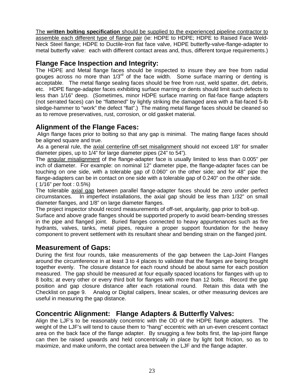The **written bolting specification** should be supplied to the experienced pipeline contractor to assemble each different type of flange pair (ie: HDPE to HDPE; HDPE to Raised Face Weld-Neck Steel flange; HDPE to Ductile-Iron flat face valve, HDPE butterfly-valve-flange-adapter to metal butterfly valve: each with different contact areas and, thus, different torque requirements.)

#### **Flange Face Inspection and Integrity:**

The HDPE and Metal flange faces should be inspected to insure they are free from radial gouges across no more than  $1/3<sup>rd</sup>$  of the face width. Some surface marring or denting is acceptable. The metal flange sealing faces should be free from rust, weld spatter, dirt, debris, etc. HDPE flange-adapter faces exhibiting surface marring or dents should limit such defects to less than 1/16" deep. (Sometimes, minor HDPE surface marring on flat-face flange adapters (not serrated faces) can be "flattened" by lightly striking the damaged area with a flat-faced 5-lb sledge-hammer to "work" the defect "flat".) The mating metal flange faces should be cleaned so as to remove preservatives, rust, corrosion, or old gasket material.

## **Alignment of the Flange Faces:**

Align flange faces prior to bolting so that any gap is minimal. The mating flange faces should be aligned square and true.

As a general rule, the axial centerline off-set misalignment should not exceed 1/8" for smaller diameter pipes, up to 1/4" for large diameter pipes (24" to 54").

The angular misalignment of the flange-adapter face is usually limited to less than 0.005" per inch of diameter. For example: on nominal 12" diameter pipe, the flange-adapter faces can be touching on one side, with a tolerable gap of 0.060" on the other side; and for 48" pipe the flange-adapters can be in contact on one side with a tolerable gap of 0.240" on the other side. ( 1/16" per foot : 0.5%)

The tolerable axial gap between parallel flange-adapter faces should be zero under perfect circumstances. In imperfect installations, the axial gap should be less than 1/32" on small diameter flanges, and 1/8" on large diameter flanges.

The project inspector should record measurements of off-set, angularity, gap prior to bolt-up.

Surface and above grade flanges should be supported properly to avoid beam-bending stresses in the pipe and flanged joint. Buried flanges connected to heavy appurtenances such as fire hydrants, valves, tanks, metal pipes, require a proper support foundation for the heavy component to prevent settlement with its resultant shear and bending strain on the flanged joint.

#### **Measurement of Gaps:**

During the first four rounds, take measurements of the gap between the Lap-Joint Flanges around the circumference in at least 3 to 4 places to validate that the flanges are being brought together evenly. The closure distance for each round should be about same for each position measured. The gap should be measured at four equally spaced locations for flanges with up to 8 bolts; at every other or every third bolt for flanges with more than 12 bolts. Record the gap position and gap closure distance after each rotational round. Retain this data with the Checklist on page 9. Analog or Digital calipers, linear scales, or other measuring devices are useful in measuring the gap distance.

## **Concentric Alignment: Flange Adapters & Butterfly Valves:**

Align the LJF's to be reasonably concentric with the OD of the HDPE flange adapters. The weight of the LJF's will tend to cause them to "hang" eccentric with an un-even crescent contact area on the back face of the flange adapter. By snugging a few bolts first, the lap-joint flange can then be raised upwards and held concentrically in place by light bolt friction, so as to maximize, and make uniform, the contact area between the LJF and the flange adapter.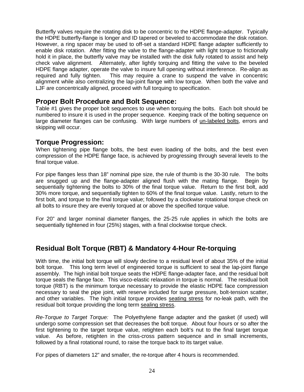Butterfly valves require the rotating disk to be concentric to the HDPE flange-adapter. Typically the HDPE butterfly-flange is longer and ID tapered or beveled to accommodate the disk rotation. However, a ring spacer may be used to off-set a standard HDPE flange adapter sufficiently to enable disk rotation. After fitting the valve to the flange-adapter with light torque to frictionally hold it in place, the butterfly valve may be installed with the disk fully rotated to assist and help check valve alignment. Alternately, after lightly torquing and fitting the valve to the beveled HDPE flange adapter, operate the valve to insure full opening without interference. Re-align as required and fully tighten. This may require a crane to suspend the valve in concentric alignment while also centralizing the lap-joint flange with low torque. When both the valve and LJF are concentrically aligned, proceed with full torquing to specification.

#### **Proper Bolt Procedure and Bolt Sequence:**

Table #1 gives the proper bolt sequences to use when torquing the bolts. Each bolt should be numbered to insure it is used in the proper sequence. Keeping track of the bolting sequence on large diameter flanges can be confusing. With large numbers of un-labeled bolts, errors and skipping will occur.

#### **Torque Progression:**

When tightening pipe flange bolts, the best even loading of the bolts, and the best even compression of the HDPE flange face, is achieved by progressing through several levels to the final torque value.

For pipe flanges less than 18" nominal pipe size, the rule of thumb is the 30-30 rule. The bolts are snugged up and the flange-adapter aligned flush with the mating flange. Begin by sequentially tightening the bolts to 30% of the final torque value. Return to the first bolt, add 30% more torque, and sequentially tighten to 60% of the final torque value. Lastly, return to the first bolt, and torque to the final torque value; followed by a clockwise rotational torque check on all bolts to insure they are evenly torqued at or above the specified torque value.

For 20" and larger nominal diameter flanges, the 25-25 rule applies in which the bolts are sequentially tightened in four (25%) stages, with a final clockwise torque check.

## **Residual Bolt Torque (RBT) & Mandatory 4-Hour Re-torquing**

With time, the initial bolt torque will slowly decline to a residual level of about 35% of the initial bolt torque. This long term level of engineered torque is sufficient to seal the lap-joint flange assembly. The high initial bolt torque seats the HDPE flange-adapter face, and the residual bolt torque seals the flange face. This visco-elastic relaxation in torque is normal. The residual bolt torque (RBT) is the minimum torque necessary to provide the elastic HDPE face compression necessary to seal the pipe joint, with reserve included for surge pressure, bolt-tension scatter, and other variables. The high initial torque provides seating stress for no-leak path, with the residual bolt torque providing the long term sealing stress.

*Re-Torque to Target Torque:* The Polyethylene flange adapter and the gasket (if used) will undergo some compression set that decreases the bolt torque. About four hours or so after the first tightening to the target torque value, retighten each bolt's nut to the final target torque value. As before, retighten in the criss-cross pattern sequence and in small increments, followed by a final rotational round, to raise the torque back to its target value.

For pipes of diameters 12" and smaller, the re-torque after 4 hours is recommended.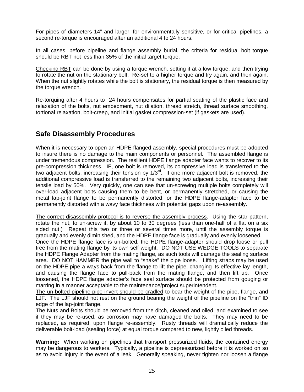For pipes of diameters 14" and larger, for environmentally sensitive, or for critical pipelines, a second re-torque is encouraged after an additional 4 to 24 hours.

In all cases, before pipeline and flange assembly burial, the criteria for residual bolt torque should be RBT not less than 35% of the initial target torque.

Checking RBT can be done by using a torque wrench, setting it at a low torque, and then trying to rotate the nut on the stationary bolt. Re-set to a higher torque and try again, and then again. When the nut slightly rotates while the bolt is stationary, the residual torque is then measured by the torque wrench.

Re-torquing after 4 hours to 24 hours compensates for partial seating of the plastic face and relaxation of the bolts, nut embedment, nut dilation, thread stretch, thread surface smoothing, tortional relaxation, bolt-creep, and initial gasket compression-set (if gaskets are used).

## **Safe Disassembly Procedures**

When it is necessary to open an HDPE flanged assembly, special procedures must be adopted to insure there is no damage to the main components or personnel. The assembled flange is under tremendous compression. The resilient HDPE flange adapter face wants to recover to its pre-compression thickness. IF, one bolt is removed, its compressive load is transferred to the two adjacent bolts, increasing their tension by 1/3rd. If one more adjacent bolt is removed, the additional compressive load is transferred to the remaining two adjacent bolts, increasing their tensile load by 50%. Very quickly, one can see that un-screwing multiple bolts completely will over-load adjacent bolts causing them to be bent, or permanently stretched, or causing the metal lap-joint flange to be permanently distorted, or the HDPE flange-adapter face to be permanently distorted with a wavy face thickness with potential gaps upon re-assembly.

The correct disassembly protocol is to reverse the assembly process. Using the star pattern, rotate the nut, to un-screw it, by about 10 to 30 degrees (less than one-half of a flat on a six sided nut.) Repeat this two or three or several times more, until the assembly torque is gradually and evenly diminished, and the HDPE flange face is gradually and evenly loosened.

Once the HDPE flange face is un-bolted, the HDPE flange-adapter should drop loose or pull free from the mating flange by its own self weight. DO NOT USE WEDGE TOOLS to separate the HDPE Flange Adapter from the mating flange, as such tools will damage the sealing surface area. DO NOT HAMMER the pipe wall to "shake" the pipe loose. Lifting straps may be used on the HDPE pipe a ways back from the flange to lift the pipe, changing its effective lay length, and causing the flange face to pull-back from the mating flange, and then lift up. Once loosened, the HDPE flange adapter's face seal surface should be protected from gouging or marring in a manner acceptable to the maintenance/project superintendent.

The un-bolted pipeline pipe invert should be cradled to bear the weight of the pipe, flange, and LJF. The LJF should not rest on the ground bearing the weight of the pipeline on the "thin" ID edge of the lap-joint flange.

The Nuts and Bolts should be removed from the ditch, cleaned and oiled, and examined to see if they may be re-used, as corrosion may have damaged the bolts. They may need to be replaced, as required, upon flange re-assembly. Rusty threads will dramatically reduce the deliverable bolt-load (sealing force) at equal torque compared to new, lightly oiled threads.

**Warning:** When working on pipelines that transport pressurized fluids, the contained energy may be dangerous to workers. Typically, a pipeline is depressurized before it is worked on so as to avoid injury in the event of a leak. Generally speaking, never tighten nor loosen a flange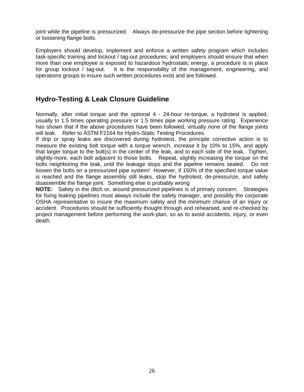joint while the pipeline is pressurized. Always de-pressurize the pipe section before tightening or loosening flange bolts.

Employers should develop, implement and enforce a written safety program which includes task-specific training and lockout / tag-out procedures; and employers should ensure that when more than one employee is exposed to hazardous hydrostatic energy, a procedure is in place for group lockout / tag-out. It is the responsibility of the management, engineering, and operations groups to insure such written procedures exist and are followed.

## **Hydro-Testing & Leak Closure Guideline**

Normally, after initial torque and the optional 4 - 24-hour re-torque, a hydrotest is applied, usually to 1.5 times operating pressure or 1.5 times pipe working pressure rating. Experience has shown that if the above procedures have been followed, virtually none of the flange joints will leak. Refer to ASTM F2164 for Hydro-Static Testing Procedures.

If drip or spray leaks are discovered during hydrotest, the principle corrective action is to measure the existing bolt torque with a torque wrench, increase it by 10% to 15%, and apply that larger torque to the bolt(s) in the center of the leak, and to each side of the leak. Tighten, slightly-more, each bolt adjacent to those bolts. Repeat, slightly increasing the torque on the bolts neighboring the leak, until the leakage stops and the pipeline remains sealed. Do not loosen the bolts on a pressurized pipe system! However, if 150% of the specified torque value is reached and the flange assembly still leaks, stop the hydrotest, de-pressurize, and safely disassemble the flange joint. Something else is probably wrong

**NOTE:** Safety in the ditch or, around pressurized pipelines is of primary concern. Strategies for fixing leaking pipelines must always include the safety manager, and possibly the corporate OSHA representative to insure the maximum safety and the minimum chance of an injury or accident. Procedures should be sufficiently thought through and rehearsed, and re-checked by project management before performing the work-plan, so as to avoid accidents, injury, or even death.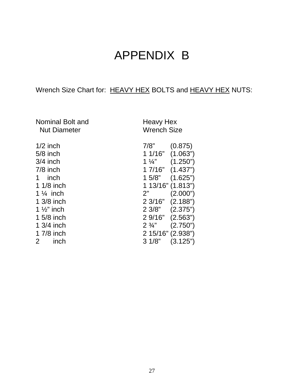# APPENDIX B

## Wrench Size Chart for: HEAVY HEX BOLTS and HEAVY HEX NUTS:

| Nominal Bolt and<br><b>Nut Diameter</b> | <b>Heavy Hex</b><br><b>Wrench Size</b> |
|-----------------------------------------|----------------------------------------|
| $1/2$ inch                              | 7/8"<br>(0.875)                        |
| $5/8$ inch                              | $11/16"$ $(1.063")$                    |
| $3/4$ inch                              | (1.250")<br>1 $\frac{1}{4}$            |
| $7/8$ inch                              | 1 7/16" (1.437")                       |
| 1 inch                                  | (1.625")<br>15/8"                      |
| $11/8$ inch                             | 1 13/16" (1.813")                      |
| 1 $\frac{1}{4}$ inch                    | 2"<br>(2.000")                         |
| 1 3/8 inch                              | 2 3/16" (2.188")                       |
| 1 $\frac{1}{2}$ " inch                  | $23/8"$ $(2.375")$                     |
| 1 5/8 inch                              | $29/16"$ $(2.563")$                    |
| 1 3/4 inch                              | (2.750)<br>$2\frac{3}{4}$              |
| 1 7/8 inch                              | 2 15/16" (2.938")                      |
| $\mathbf{2}$<br>inch                    | 31/8"<br>(3.125")                      |

27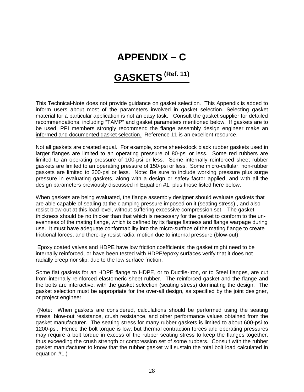## **APPENDIX – C**

# **GASKETS (Ref. 11)**

This Technical-Note does not provide guidance on gasket selection. This Appendix is added to inform users about most of the parameters involved in gasket selection. Selecting gasket material for a particular application is not an easy task. Consult the gasket supplier for detailed recommendations, including "TAMP" and gasket parameters mentioned below. If gaskets are to be used. PPI members strongly recommend the flange assembly design engineer make an informed and documented gasket selection. Reference 11 is an excellent resource.

Not all gaskets are created equal. For example, some sheet-stock black rubber gaskets used in larger flanges are limited to an operating pressure of 80-psi or less. Some red rubbers are limited to an operating pressure of 100-psi or less. Some internally reinforced sheet rubber gaskets are limited to an operating pressure of 150-psi or less. Some micro-cellular, non-rubber gaskets are limited to 300-psi or less. Note: Be sure to include working pressure plus surge pressure in evaluating gaskets, along with a design or safety factor applied, and with all the design parameters previously discussed in Equation #1, plus those listed here below.

When gaskets are being evaluated, the flange assembly designer should evaluate gaskets that are able capable of sealing at the clamping pressure imposed on it (seating stress) , and also resist blow-out at this load level, without suffering excessive compression set. The gasket thickness should be no thicker than that which is necessary for the gasket to conform to the unevenness of the mating flange, which is defined by its flange flatness and flange warpage during use. It must have adequate conformability into the micro-surface of the mating flange to create frictional forces, and there-by resist radial motion due to internal pressure (blow-out).

Epoxy coated valves and HDPE have low friction coefficients; the gasket might need to be internally reinforced, or have been tested with HDPE/epoxy surfaces verify that it does not radially creep nor slip, due to the low surface friction.

Some flat gaskets for an HDPE flange to HDPE, or to Ductile-Iron, or to Steel flanges, are cut from internally reinforced elastomeric sheet rubber. The reinforced gasket and the flange and the bolts are interactive, with the gasket selection (seating stress) dominating the design. The gasket selection must be appropriate for the over-all design, as specified by the joint designer, or project engineer.

(Note: When gaskets are considered, calculations should be performed using the seating stress, blow-out resistance, crush resistance, and other performance values obtained from the gasket manufacturer. The seating stress for many rubber gaskets is limited to about 600-psi to 1200-psi. Hence the bolt torque is low; but thermal contraction forces and operating pressures may require a bolt torque in excess of the rubber seating stress to keep the flanges together, thus exceeding the crush strength or compression set of some rubbers. Consult with the rubber gasket manufacturer to know that the rubber gasket will sustain the total bolt load calculated in equation #1.)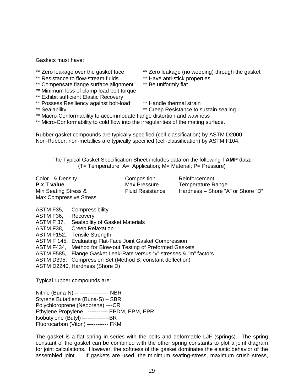Gaskets must have:

- 
- \*\* Resistance to flow-stream fluids \*\* Have anti-stick properties to flow-stream fluids \*\* Have anti-stick pro
- \*\* Compensate flange surface alignment
- \*\* Minimum loss of clamp load bolt torque
- \*\* Exhibit sufficient Elastic Recovery
- \*\* Possess Resiliency against bolt-load \*\* Handle thermal strain<br>\*\* Sealability \*\* \*\* Creep Resistance to s
- 
- \*\* Zero leakage over the gasket face \*\* Zero leakage (no weeping) through the gasket<br>\*\* Resistance to flow-stream fluids \*\* Have anti-stick properties
	-
	-
	-
	- \*\* Creep Resistance to sustain sealing
- \*\* Macro-Conformability to accommodate flange distortion and waviness
- \*\* Micro-Conformability to cold flow into the irregularities of the mating surface.

Rubber gasket compounds are typically specified (cell-classification) by ASTM D2000. Non-Rubber, non-metallics are typically specified (cell-classification) by ASTM F104.

The Typical Gasket Specification Sheet includes data on the following **TAMP** data: (T= Temperature; A= Application; M= Material; P= Pressure)

| Color & Density<br>P x T value | Composition<br>Max Pressure | Reinforcement<br>Temperature Range |
|--------------------------------|-----------------------------|------------------------------------|
| Min Seating Stress &           | <b>Fluid Resistance</b>     | Hardness - Shore "A" or Shore "D"  |
| Max Compressive Stress         |                             |                                    |

ASTM F35, Compressibility ASTM F36, Recovery ASTM F 37, Sealability of Gasket Materials ASTM F38, Creep Relaxation ASTM F152, Tensile Strength ASTM F 145, Evaluating Flat-Face Joint Gasket Compression ASTM F434, Method for Blow-out Testing of Preformed Gaskets ASTM F585, Flange Gasket Leak-Rate versus "y" stresses & "m" factors ASTM D395, Compression Set (Method B: constant deflection) ASTM D2240, Hardness (Shore D)

Typical rubber compounds are:

Nitrile (Buna-N) – ---------------- NBR Styrene Butadiene (Buna-S) – SBR Polychloroprene (Neoprene) –--CR Ethylene Propylene –----------- EPDM, EPM, EPR Isobutylene (Butyl) –-------------BR Fluorocarbon (Viton) –---------- FKM

The gasket is a flat spring in series with the bolts and deformable LJF (springs). The spring constant of the gasket can be combined with the other spring constants to plot a joint diagram for joint calculations. However, the softness of the gasket dominates the elastic behavior of the assembled joint. If gaskets are used, the minimum seating-stress, maximum crush stress,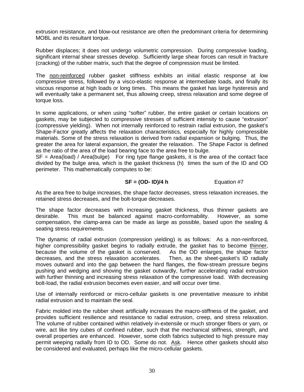extrusion resistance, and blow-out resistance are often the predominant criteria for determining MOBL and its resultant torque.

Rubber displaces; it does not undergo volumetric compression. During compressive loading, significant internal shear stresses develop. Sufficiently large shear forces can result in fracture (cracking) of the rubber matrix, such that the degree of compression must be limited.

The non-reinforced rubber gasket stiffness exhibits an initial elastic response at low compressive stress, followed by a visco-elastic response at intermediate loads, and finally its viscous response at high loads or long times. This means the gasket has large hysteresis and will eventually take a permanent set, thus allowing creep, stress relaxation and some degree of torque loss.

In some applications, or when using "softer" rubber, the entire gasket or certain locations on gaskets, may be subjected to compressive stresses of sufficient intensity to cause "extrusion" (compressive yielding). When not internally reinforced to restrain radial extrusion, the gasket's Shape-Factor greatly affects the relaxation characteristics, especially for highly compressible materials. Some of the stress relaxation is derived from radial expansion or bulging. Thus, the greater the area for lateral expansion, the greater the relaxation. The Shape Factor is defined as the ratio of the area of the load bearing face to the area free to bulge.

 $SF = Area(load) / Area(bulge)$  For ring type flange gaskets, it is the area of the contact face divided by the bulge area, which is the gasket thickness (h) times the sum of the ID and OD perimeter. This mathematically computes to be:

#### **SF = (OD- ID)/4 h** Equation #7

As the area free to bulge increases, the shape factor decreases, stress relaxation increases, the retained stress decreases, and the bolt-torque decreases.

The shape factor decreases with increasing gasket thickness, thus thinner gaskets are desirable. This must be balanced against macro-conformability. However, as some compensation, the clamp-area can be made as large as possible, based upon the sealing & seating stress requirements.

The dynamic of radial extrusion (compression yielding) is as follows: As a non-reinforced, higher compressibility gasket begins to radially extrude, the gasket has to become thinner, because the volume of the gasket is conserved. As the OD enlarges, the shape factor decreases, and the stress relaxation accelerates. Then, as the sheet-gasket's ID radially moves outward and into the gap between the hard flanges, the flow-stream pressure begins pushing and wedging and shoving the gasket outwardly, further accelerating radial extrusion with further thinning and increasing stress relaxation of the compressive load. With decreasing bolt-load, the radial extrusion becomes even easier, and will occur over time.

Use of internally reinforced or micro-cellular gaskets is one preventative measure to inhibit radial extrusion and to maintain the seal.

Fabric molded into the rubber sheet artificially increases the macro-stiffness of the gasket, and provides sufficient resilience and resistance to radial extrusion, creep, and stress relaxation. The volume of rubber contained within relatively in-extensile or much stronger fibers or yarn, or wire, act like tiny cubes of confined rubber, such that the mechanical stiffness, strength, and overall properties are enhanced. However, some cloth fabrics subjected to high pressure may permit weeping radially from ID to OD. Some do not. Ask. Hence other gaskets should also be considered and evaluated, perhaps like the micro-cellular gaskets.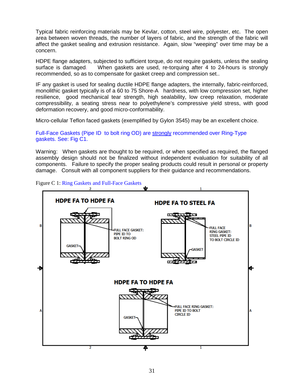Typical fabric reinforcing materials may be Kevlar, cotton, steel wire, polyester, etc. The open area between woven threads, the number of layers of fabric, and the strength of the fabric will affect the gasket sealing and extrusion resistance. Again, slow "weeping" over time may be a concern.

HDPE flange adapters, subjected to sufficient torque, do not require gaskets, unless the sealing surface is damaged. When gaskets are used, re-torquing after 4 to 24-hours is strongly recommended, so as to compensate for gasket creep and compression set..

IF any gasket is used for sealing ductile HDPE flange adapters, the internally, fabric-reinforced, monolithic gasket typically is of a 60 to 75 Shore-A hardness, with low compression set, higher resilience, good mechanical tear strength, high sealability, low creep relaxation, moderate compressibility, a seating stress near to polyethylene's compressive yield stress, with good deformation recovery, and good micro-conformability.

Micro-cellular Teflon faced gaskets (exemplified by Gylon 3545) may be an excellent choice.

Full-Face Gaskets (Pipe ID to bolt ring OD) are strongly recommended over Ring-Type gaskets. See: Fig C1.

Warning: When gaskets are thought to be required, or when specified as required, the flanged assembly design should not be finalized without independent evaluation for suitability of all components. Failure to specify the proper sealing products could result in personal or property damage. Consult with all component suppliers for their guidance and recommendations.



Figure C 1: Ring Gaskets and Full-Face Gaskets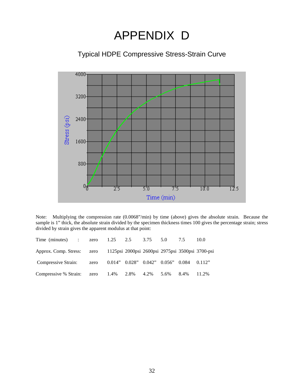# APPENDIX D

Typical HDPE Compressive Stress-Strain Curve



Note: Multiplying the compression rate (0.0068"/min) by time (above) gives the absolute strain. Because the sample is 1" thick, the absolute strain divided by the specimen thickness times 100 gives the percentage strain; stress divided by strain gives the apparent modulus at that point:

| Time (minutes) : zero 1.25 2.5 3.75 5.0 7.5                                 |  |  |  | 10.0 |
|-----------------------------------------------------------------------------|--|--|--|------|
| Approx. Comp. Stress: zero 1125psi 2000psi 2600psi 2975psi 3500psi 3700-psi |  |  |  |      |
| Compressive Strain: zero 0.014" 0.028" 0.042" 0.056" 0.084 0.112"           |  |  |  |      |
| Compressive % Strain: zero 1.4% 2.8% 4.2% 5.6% 8.4% 11.2%                   |  |  |  |      |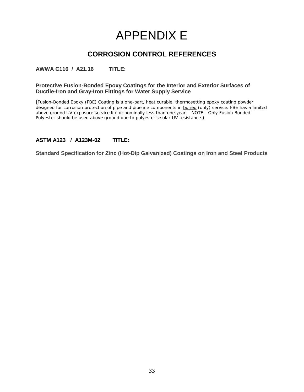# APPENDIX E

## **CORROSION CONTROL REFERENCES**

**AWWA C116 / A21.16 TITLE:**

#### **Protective Fusion-Bonded Epoxy Coatings for the Interior and Exterior Surfaces of Ductile-Iron and Gray-Iron Fittings for Water Supply Service**

**(**Fusion-Bonded Epoxy (FBE) Coating is a one-part, heat curable, thermosetting epoxy coating powder designed for corrosion protection of pipe and pipeline components in buried (only) service. FBE has a limited above ground UV exposure service life of nominally less than one year. NOTE: Only Fusion Bonded Polyester should be used above ground due to polyester's solar UV resistance.**)**

#### **ASTM A123 / A123M-02 TITLE:**

**Standard Specification for Zinc (Hot-Dip Galvanized) Coatings on Iron and Steel Products**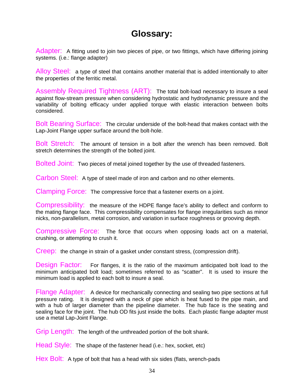## **Glossary:**

Adapter: A fitting used to join two pieces of pipe, or two fittings, which have differing joining systems. (i.e.: flange adapter)

Alloy Steel: a type of steel that contains another material that is added intentionally to alter the properties of the ferritic metal.

Assembly Required Tightness (ART): The total bolt-load necessary to insure a seal against flow-stream pressure when considering hydrostatic and hydrodynamic pressure and the variability of bolting efficacy under applied torque with elastic interaction between bolts considered.

Bolt Bearing Surface: The circular underside of the bolt-head that makes contact with the Lap-Joint Flange upper surface around the bolt-hole.

Bolt Stretch: The amount of tension in a bolt after the wrench has been removed. Bolt stretch determines the strength of the bolted joint.

Bolted Joint: Two pieces of metal joined together by the use of threaded fasteners.

Carbon Steel: A type of steel made of iron and carbon and no other elements.

Clamping Force: The compressive force that a fastener exerts on a joint.

Compressibility: the measure of the HDPE flange face's ability to deflect and conform to the mating flange face. This compressibility compensates for flange irregularities such as minor nicks, non-parallelism, metal corrosion, and variation in surface roughness or grooving depth.

Compressive Force: The force that occurs when opposing loads act on a material, crushing, or attempting to crush it.

Creep: the change in strain of a gasket under constant stress, (compression drift).

Design Factor: For flanges, it is the ratio of the maximum anticipated bolt load to the minimum anticipated bolt load; sometimes referred to as "scatter". It is used to insure the minimum load is applied to each bolt to insure a seal.

Flange Adapter: A device for mechanically connecting and sealing two pipe sections at full pressure rating. It is designed with a neck of pipe which is heat fused to the pipe main, and with a hub of larger diameter than the pipeline diameter. The hub face is the seating and sealing face for the joint. The hub OD fits just inside the bolts. Each plastic flange adapter must use a metal Lap-Joint Flange.

Grip Length: The length of the unthreaded portion of the bolt shank.

Head Style: The shape of the fastener head (i.e.: hex, socket, etc)

Hex Bolt: A type of bolt that has a head with six sides (flats, wrench-pads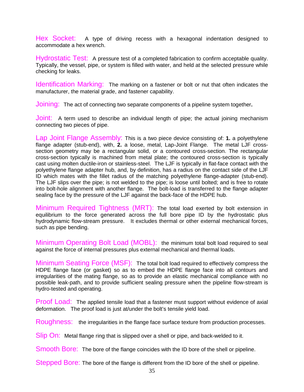Hex Socket: A type of driving recess with a hexagonal indentation designed to accommodate a hex wrench.

Hydrostatic Test: A pressure test of a completed fabrication to confirm acceptable quality. Typically, the vessel, pipe, or system is filled with water, and held at the selected pressure while checking for leaks.

Identification Marking: The marking on a fastener or bolt or nut that often indicates the manufacturer, the material grade, and fastener capability.

Joining: The act of connecting two separate components of a pipeline system together**.**

Joint: A term used to describe an individual length of pipe; the actual joining mechanism connecting two pieces of pipe.

Lap Joint Flange Assembly: This is a two piece device consisting of: **1.** a polyethylene flange adapter (stub-end), with, **2.** a loose, metal, Lap-Joint Flange. The metal LJF crosssection geometry may be a rectangular solid, or a contoured cross-section. The rectangular cross-section typically is machined from metal plate; the contoured cross-section is typically cast using molten ductile-iron or stainless-steel. The LJF is typically in flat-face contact with the polyethylene flange adapter hub, and, by definition, has a radius on the contact side of the LJF ID which mates with the fillet radius of the matching polyethylene flange-adapter (stub-end). The LJF slips over the pipe; is not welded to the pipe; is loose until bolted; and is free to rotate into bolt-hole alignment with another flange. The bolt-load is transferred to the flange adapter sealing face by the pressure of the LJF against the back-face of the HDPE hub.

Minimum Required Tightness (MRT): The total load exerted by bolt extension in equilibrium to the force generated across the full bore pipe ID by the hydrostatic plus hydrodynamic flow-stream pressure. It excludes thermal or other external mechanical forces, such as pipe bending.

Minimum Operating Bolt Load (MOBL): the minimum total bolt load required to seal against the force of internal pressures plus external mechanical and thermal loads.

Minimum Seating Force (MSF): The total bolt load required to effectively compress the HDPE flange face (or gasket) so as to embed the HDPE flange face into all contours and irregularities of the mating flange, so as to provide an elastic mechanical compliance with no possible leak-path, and to provide sufficient sealing pressure when the pipeline flow-stream is hydro-tested and operating.

Proof Load: The applied tensile load that a fastener must support without evidence of axial deformation. The proof load is just at/under the bolt's tensile yield load.

Roughness: the irregularities in the flange face surface texture from production processes.

Slip On: Metal flange ring that is slipped over a shell or pipe, and back-welded to it.

Smooth Bore: The bore of the flange coincides with the ID bore of the shell or pipeline.

Stepped Bore: The bore of the flange is different from the ID bore of the shell or pipeline.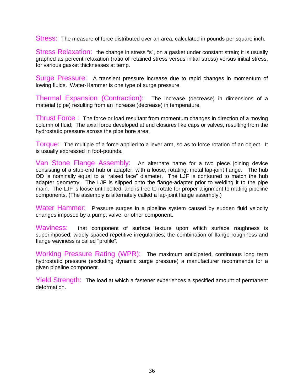Stress: The measure of force distributed over an area, calculated in pounds per square inch.

Stress Relaxation: the change in stress "s", on a gasket under constant strain; it is usually graphed as percent relaxation (ratio of retained stress versus initial stress) versus initial stress, for various gasket thicknesses at temp.

Surge Pressure: A transient pressure increase due to rapid changes in momentum of lowing fluids. Water-Hammer is one type of surge pressure.

Thermal Expansion (Contraction): The increase (decrease) in dimensions of a material (pipe) resulting from an increase (decrease) in temperature.

Thrust Force : The force or load resultant from momentum changes in direction of a moving column of fluid; The axial force developed at end closures like caps or valves, resulting from the hydrostatic pressure across the pipe bore area.

Torque: The multiple of a force applied to a lever arm, so as to force rotation of an object. It is usually expressed in foot-pounds.

Van Stone Flange Assembly: An alternate name for a two piece joining device consisting of a stub-end hub or adapter, with a loose, rotating, metal lap-joint flange. The hub OD is nominally equal to a "raised face" diameter. The LJF is contoured to match the hub adapter geometry. The LJF is slipped onto the flange-adapter prior to welding it to the pipe main. The LJF is loose until bolted, and is free to rotate for proper alignment to mating pipeline components. (The assembly is alternately called a lap-joint flange assembly.)

Water Hammer: Pressure surges in a pipeline system caused by sudden fluid velocity changes imposed by a pump, valve, or other component.

Waviness: that component of surface texture upon which surface roughness is superimposed; widely spaced repetitive irregularities; the combination of flange roughness and flange waviness is called "profile".

Working Pressure Rating (WPR): The maximum anticipated, continuous long term hydrostatic pressure (excluding dynamic surge pressure) a manufacturer recommends for a given pipeline component.

Yield Strength: The load at which a fastener experiences a specified amount of permanent deformation.